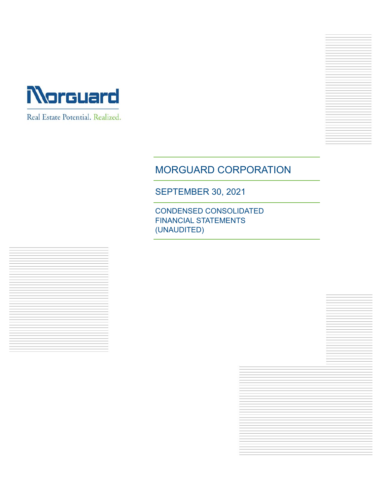

Real Estate Potential. Realized.



SEPTEMBER 30, 2021

CONDENSED CONSOLIDATED FINANCIAL STATEMENTS (UNAUDITED)

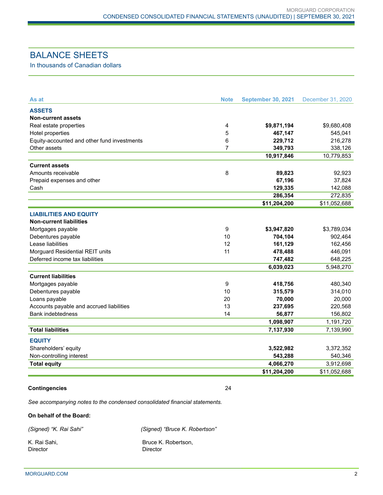# BALANCE SHEETS

In thousands of Canadian dollars

| As at                                       | <b>Note</b>    | <b>September 30, 2021</b> | December 31, 2020 |
|---------------------------------------------|----------------|---------------------------|-------------------|
| <b>ASSETS</b>                               |                |                           |                   |
| <b>Non-current assets</b>                   |                |                           |                   |
| Real estate properties                      | $\overline{4}$ | \$9,871,194               | \$9,680,408       |
| Hotel properties                            | 5              | 467,147                   | 545,041           |
| Equity-accounted and other fund investments | 6              | 229,712                   | 216,278           |
| Other assets                                | $\overline{7}$ | 349,793                   | 338,126           |
|                                             |                | 10,917,846                | 10,779,853        |
| <b>Current assets</b>                       |                |                           |                   |
| Amounts receivable                          | 8              | 89,823                    | 92,923            |
| Prepaid expenses and other                  |                | 67,196                    | 37,824            |
| Cash                                        |                | 129,335                   | 142,088           |
|                                             |                | 286,354                   | 272,835           |
|                                             |                | \$11,204,200              | \$11,052,688      |
| <b>LIABILITIES AND EQUITY</b>               |                |                           |                   |
| <b>Non-current liabilities</b>              |                |                           |                   |
| Mortgages payable                           | 9              | \$3,947,820               | \$3,789,034       |
| Debentures payable                          | 10             | 704,104                   | 902,464           |
| Lease liabilities                           | 12             | 161,129                   | 162,456           |
| Morguard Residential REIT units             | 11             | 478,488                   | 446,091           |
| Deferred income tax liabilities             |                | 747,482                   | 648,225           |
|                                             |                | 6,039,023                 | 5,948,270         |
| <b>Current liabilities</b>                  |                |                           |                   |
| Mortgages payable                           | 9              | 418,756                   | 480,340           |
| Debentures payable                          | 10             | 315,579                   | 314,010           |
| Loans payable                               | 20             | 70,000                    | 20,000            |
| Accounts payable and accrued liabilities    | 13             | 237,695                   | 220,568           |
| <b>Bank indebtedness</b>                    | 14             | 56,877                    | 156,802           |
|                                             |                | 1,098,907                 | 1,191,720         |
| <b>Total liabilities</b>                    |                | 7,137,930                 | 7,139,990         |
| <b>EQUITY</b>                               |                |                           |                   |
| Shareholders' equity                        |                | 3,522,982                 | 3,372,352         |
| Non-controlling interest                    |                | 543,288                   | 540,346           |
| <b>Total equity</b>                         |                | 4,066,270                 | 3,912,698         |
|                                             |                | \$11,204,200              | \$11,052,688      |
|                                             |                |                           |                   |

#### **Contingencies** 24

*See accompanying notes to the condensed consolidated financial statements.*

#### **On behalf of the Board:**

*(Signed) "K. Rai Sahi" (Signed) "Bruce K. Robertson"* 

Director Director

K. Rai Sahi, **Bruce K. Robertson,** Bruce K. Robertson,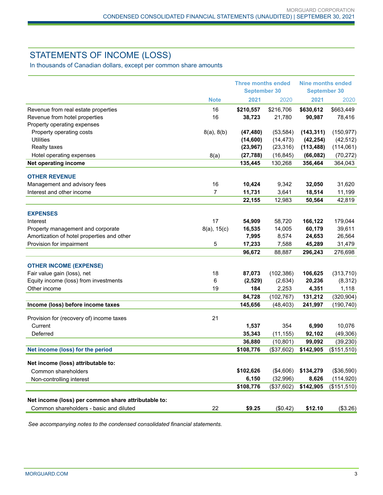# STATEMENTS OF INCOME (LOSS)

In thousands of Canadian dollars, except per common share amounts

|                                                                      |                  | <b>Three months ended</b><br><b>September 30</b> |                       | <b>Nine months ended</b><br><b>September 30</b> |                  |
|----------------------------------------------------------------------|------------------|--------------------------------------------------|-----------------------|-------------------------------------------------|------------------|
|                                                                      | <b>Note</b>      | 2021                                             | 2020                  | 2021                                            | 2020             |
| Revenue from real estate properties                                  | 16               | \$210,557                                        | \$216,706             | \$630,612                                       | \$663,449        |
| Revenue from hotel properties                                        | 16               | 38,723                                           | 21,780                | 90,987                                          | 78,416           |
| Property operating expenses                                          |                  |                                                  |                       |                                                 |                  |
| Property operating costs                                             | 8(a), 8(b)       | (47, 480)                                        | (53, 584)             | (143, 311)                                      | (150, 977)       |
| <b>Utilities</b>                                                     |                  | (14,600)                                         | (14, 473)             | (42, 254)                                       | (42, 512)        |
| <b>Realty taxes</b>                                                  |                  | (23, 967)                                        | (23, 316)             | (113, 488)                                      | (114, 061)       |
| Hotel operating expenses                                             | 8(a)             | (27, 788)                                        | (16, 845)             | (66, 082)                                       | (70, 272)        |
| <b>Net operating income</b>                                          |                  | 135,445                                          | 130,268               | 356,464                                         | 364,043          |
| <b>OTHER REVENUE</b>                                                 |                  |                                                  |                       |                                                 |                  |
| Management and advisory fees                                         | 16               | 10,424                                           | 9,342                 | 32,050                                          | 31,620           |
| Interest and other income                                            | 7                | 11,731                                           | 3,641                 | 18,514                                          | 11,199           |
|                                                                      |                  | 22,155                                           | 12,983                | 50,564                                          | 42,819           |
| <b>EXPENSES</b>                                                      |                  |                                                  |                       |                                                 |                  |
| Interest                                                             | 17               | 54,909                                           | 58,720                | 166,122                                         | 179,044          |
| Property management and corporate                                    | $8(a)$ , $15(c)$ | 16,535                                           | 14,005                | 60,179                                          | 39,611           |
| Amortization of hotel properties and other                           |                  | 7,995                                            | 8,574                 | 24,653                                          | 26,564           |
| Provision for impairment                                             | 5                | 17,233                                           | 7,588                 | 45,289                                          | 31,479           |
|                                                                      |                  | 96,672                                           | 88,887                | 296,243                                         | 276,698          |
|                                                                      |                  |                                                  |                       |                                                 |                  |
| <b>OTHER INCOME (EXPENSE)</b>                                        |                  |                                                  |                       |                                                 |                  |
| Fair value gain (loss), net<br>Equity income (loss) from investments | 18<br>6          | 87,073<br>(2,529)                                | (102, 386)<br>(2,634) | 106,625<br>20,236                               | (313, 710)       |
| Other income                                                         | 19               | 184                                              | 2,253                 | 4,351                                           | (8,312)<br>1,118 |
|                                                                      |                  | 84,728                                           | (102, 767)            | 131,212                                         | (320, 904)       |
| Income (loss) before income taxes                                    |                  | 145,656                                          | (48, 403)             | 241,997                                         | (190, 740)       |
|                                                                      |                  |                                                  |                       |                                                 |                  |
| Provision for (recovery of) income taxes                             | 21               |                                                  |                       |                                                 |                  |
| Current                                                              |                  | 1,537                                            | 354                   | 6,990                                           | 10,076           |
| Deferred                                                             |                  | 35,343                                           | (11, 155)             | 92,102                                          | (49, 306)        |
|                                                                      |                  | 36,880                                           | (10, 801)             | 99,092                                          | (39, 230)        |
| Net income (loss) for the period                                     |                  | \$108,776                                        | (\$37,602)            | \$142,905                                       | (\$151,510)      |
| Net income (loss) attributable to:                                   |                  |                                                  |                       |                                                 |                  |
| Common shareholders                                                  |                  | \$102,626                                        | (\$4,606)             | \$134,279                                       | (\$36,590)       |
| Non-controlling interest                                             |                  | 6,150                                            | (32, 996)             | 8,626                                           | (114, 920)       |
|                                                                      |                  | \$108,776                                        | (\$37,602)            | \$142,905                                       | (\$151,510)      |
| Net income (loss) per common share attributable to:                  |                  |                                                  |                       |                                                 |                  |
| Common shareholders - basic and diluted                              | 22               | \$9.25                                           | (\$0.42)              | \$12.10                                         | (\$3.26)         |
|                                                                      |                  |                                                  |                       |                                                 |                  |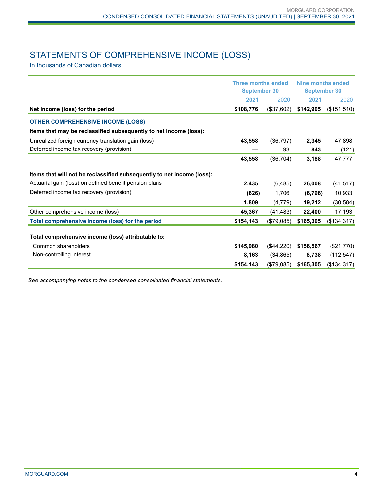# STATEMENTS OF COMPREHENSIVE INCOME (LOSS)

In thousands of Canadian dollars

|                                                                        | <b>Three months ended</b><br><b>September 30</b> |              | Nine months ended<br><b>September 30</b> |             |
|------------------------------------------------------------------------|--------------------------------------------------|--------------|------------------------------------------|-------------|
|                                                                        | 2021                                             | 2020         | 2021                                     | 2020        |
| Net income (loss) for the period                                       | \$108,776                                        | (\$37,602)   | \$142,905                                | (\$151,510) |
| <b>OTHER COMPREHENSIVE INCOME (LOSS)</b>                               |                                                  |              |                                          |             |
| Items that may be reclassified subsequently to net income (loss):      |                                                  |              |                                          |             |
| Unrealized foreign currency translation gain (loss)                    | 43,558                                           | (36, 797)    | 2,345                                    | 47,898      |
| Deferred income tax recovery (provision)                               |                                                  | 93           | 843                                      | (121)       |
|                                                                        | 43,558                                           | (36, 704)    | 3,188                                    | 47,777      |
| Items that will not be reclassified subsequently to net income (loss): |                                                  |              |                                          |             |
| Actuarial gain (loss) on defined benefit pension plans                 | 2,435                                            | (6, 485)     | 26,008                                   | (41, 517)   |
| Deferred income tax recovery (provision)                               | (626)                                            | 1,706        | (6, 796)                                 | 10,933      |
|                                                                        | 1,809                                            | (4,779)      | 19,212                                   | (30, 584)   |
| Other comprehensive income (loss)                                      | 45,367                                           | (41, 483)    | 22,400                                   | 17,193      |
| Total comprehensive income (loss) for the period                       | \$154,143                                        | (\$79,085)   | \$165,305                                | (\$134,317) |
| Total comprehensive income (loss) attributable to:                     |                                                  |              |                                          |             |
| Common shareholders                                                    | \$145,980                                        | $(\$44,220)$ | \$156,567                                | (\$21,770)  |
| Non-controlling interest                                               | 8,163                                            | (34, 865)    | 8,738                                    | (112, 547)  |
|                                                                        | \$154,143                                        | (\$79,085)   | \$165,305                                | (\$134,317) |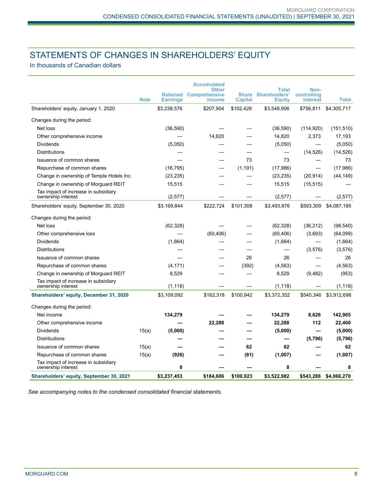# STATEMENTS OF CHANGES IN SHAREHOLDERS' EQUITY

In thousands of Canadian dollars

|                                                            |             |                                    | <b>Accumulated</b><br>Other           |                                | Total                                 | Non-                           |              |
|------------------------------------------------------------|-------------|------------------------------------|---------------------------------------|--------------------------------|---------------------------------------|--------------------------------|--------------|
|                                                            | <b>Note</b> | <b>Retained</b><br><b>Earnings</b> | <b>Comprehensive</b><br><b>Income</b> | <b>Share</b><br><b>Capital</b> | <b>Shareholders'</b><br><b>Equity</b> | controlling<br><b>Interest</b> | <b>Total</b> |
| Shareholders' equity, January 1, 2020                      |             | \$3,238,576                        | \$207,904                             | \$102,426                      | \$3,548,906                           | \$756,811                      | \$4,305,717  |
| Changes during the period:                                 |             |                                    |                                       |                                |                                       |                                |              |
| Net loss                                                   |             | (36, 590)                          |                                       |                                | (36, 590)                             | (114, 920)                     | (151, 510)   |
| Other comprehensive income                                 |             |                                    | 14,820                                |                                | 14,820                                | 2,373                          | 17,193       |
| <b>Dividends</b>                                           |             | (5,050)                            |                                       |                                | (5,050)                               |                                | (5,050)      |
| <b>Distributions</b>                                       |             |                                    |                                       |                                | —                                     | (14, 526)                      | (14, 526)    |
| Issuance of common shares                                  |             |                                    |                                       | 73                             | 73                                    |                                | 73           |
| Repurchase of common shares                                |             | (16, 795)                          |                                       | (1, 191)                       | (17, 986)                             |                                | (17,986)     |
| Change in ownership of Temple Hotels Inc.                  |             | (23, 235)                          |                                       |                                | (23, 235)                             | (20, 914)                      | (44, 149)    |
| Change in ownership of Morguard REIT                       |             | 15,515                             |                                       |                                | 15,515                                | (15, 515)                      |              |
| Tax impact of increase in subsidiary<br>ownership interest |             | (2,577)                            |                                       |                                | (2,577)                               |                                | (2,577)      |
| Shareholders' equity, September 30, 2020                   |             | \$3,169,844                        | \$222,724                             | \$101,308                      | \$3,493,876                           | \$593,309                      | \$4,087,185  |
| Changes during the period:                                 |             |                                    |                                       |                                |                                       |                                |              |
| Net loss                                                   |             | (62, 328)                          |                                       |                                | (62, 328)                             | (36, 212)                      | (98, 540)    |
| Other comprehensive loss                                   |             |                                    | (60, 406)                             |                                | (60, 406)                             | (3,693)                        | (64,099)     |
| <b>Dividends</b>                                           |             | (1,664)                            |                                       |                                | (1,664)                               |                                | (1,664)      |
| <b>Distributions</b>                                       |             |                                    |                                       |                                |                                       | (3,576)                        | (3,576)      |
| Issuance of common shares                                  |             |                                    |                                       | 26                             | 26                                    |                                | 26           |
| Repurchase of common shares                                |             | (4, 171)                           |                                       | (392)                          | (4, 563)                              |                                | (4, 563)     |
| Change in ownership of Morguard REIT                       |             | 8,529                              |                                       |                                | 8,529                                 | (9,482)                        | (953)        |
| Tax impact of increase in subsidiary<br>ownership interest |             | (1, 118)                           |                                       |                                | (1, 118)                              |                                | (1, 118)     |
| Shareholders' equity, December 31, 2020                    |             | \$3,109,092                        | \$162,318                             | \$100,942                      | \$3,372,352                           | \$540,346                      | \$3,912,698  |
| Changes during the period:                                 |             |                                    |                                       |                                |                                       |                                |              |
| Net income                                                 |             | 134,279                            |                                       |                                | 134,279                               | 8,626                          | 142,905      |
| Other comprehensive income                                 |             |                                    | 22.288                                |                                | 22,288                                | 112                            | 22,400       |
| Dividends                                                  | 15(a)       | (5,000)                            |                                       |                                | (5,000)                               |                                | (5,000)      |
| <b>Distributions</b>                                       |             |                                    |                                       |                                |                                       | (5,796)                        | (5,796)      |
| Issuance of common shares                                  | 15(a)       |                                    |                                       | 62                             | 62                                    |                                | 62           |
| Repurchase of common shares                                | 15(a)       | (926)                              |                                       | (81)                           | (1,007)                               |                                | (1,007)      |
| Tax impact of increase in subsidiary<br>ownership interest |             | 8                                  |                                       |                                | 8                                     |                                | 8            |
| <b>Shareholders' equity, September 30, 2021</b>            |             | \$3.237.453                        | \$184.606                             | \$100.923                      | \$3.522.982                           | \$543.288                      | \$4.066.270  |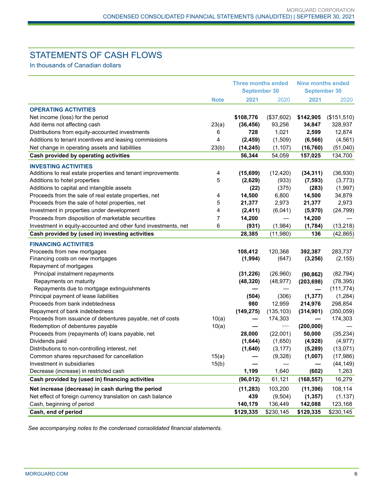# STATEMENTS OF CASH FLOWS

In thousands of Canadian dollars

|                                                                |             | <b>Three months ended</b><br><b>September 30</b> |            | <b>Nine months ended</b><br><b>September 30</b> |             |  |
|----------------------------------------------------------------|-------------|--------------------------------------------------|------------|-------------------------------------------------|-------------|--|
|                                                                | <b>Note</b> | 2021                                             | 2020       | 2021                                            | 2020        |  |
| <b>OPERATING ACTIVITIES</b>                                    |             |                                                  |            |                                                 |             |  |
| Net income (loss) for the period                               |             | \$108,776                                        | (\$37,602) | \$142,905                                       | (\$151,510) |  |
| Add items not affecting cash                                   | 23(a)       | (36, 456)                                        | 93,256     | 34,847                                          | 328,937     |  |
| Distributions from equity-accounted investments                | 6           | 728                                              | 1,021      | 2,599                                           | 12,874      |  |
| Additions to tenant incentives and leasing commissions         | 4           | (2, 459)                                         | (1,509)    | (6, 566)                                        | (4, 561)    |  |
| Net change in operating assets and liabilities                 | 23(b)       | (14, 245)                                        | (1, 107)   | (16, 760)                                       | (51,040)    |  |
| Cash provided by operating activities                          |             | 56,344                                           | 54,059     | 157,025                                         | 134,700     |  |
| <b>INVESTING ACTIVITIES</b>                                    |             |                                                  |            |                                                 |             |  |
| Additions to real estate properties and tenant improvements    | 4           | (15, 699)                                        | (12, 420)  | (34, 311)                                       | (36,930)    |  |
| Additions to hotel properties                                  | 5           | (2,629)                                          | (933)      | (7, 593)                                        | (3,773)     |  |
| Additions to capital and intangible assets                     |             | (22)                                             | (375)      | (283)                                           | (1,997)     |  |
| Proceeds from the sale of real estate properties, net          | 4           | 14,500                                           | 6,800      | 14,500                                          | 34,879      |  |
| Proceeds from the sale of hotel properties, net                | 5           | 21,377                                           | 2,973      | 21,377                                          | 2,973       |  |
| Investment in properties under development                     | 4           | (2, 411)                                         | (6,041)    | (5,970)                                         | (24, 799)   |  |
| Proceeds from disposition of marketable securities             | 7           | 14,200                                           |            | 14,200                                          |             |  |
| Investment in equity-accounted and other fund investments, net | 6           | (931)                                            | (1,984)    | (1,784)                                         | (13, 218)   |  |
| Cash provided by (used in) investing activities                |             | 28,385                                           | (11,980)   | 136                                             | (42, 865)   |  |
| <b>FINANCING ACTIVITIES</b>                                    |             |                                                  |            |                                                 |             |  |
| Proceeds from new mortgages                                    |             | 108,412                                          | 120,368    | 392,387                                         | 283,737     |  |
| Financing costs on new mortgages                               |             | (1,994)                                          | (647)      | (3,256)                                         | (2, 155)    |  |
| Repayment of mortgages                                         |             |                                                  |            |                                                 |             |  |
| Principal instalment repayments                                |             | (31, 226)                                        | (26,960)   | (90, 862)                                       | (82, 794)   |  |
| Repayments on maturity                                         |             | (48, 320)                                        | (48, 977)  | (203, 698)                                      | (78, 395)   |  |
| Repayments due to mortgage extinguishments                     |             |                                                  |            |                                                 | (111, 774)  |  |
| Principal payment of lease liabilities                         |             | (504)                                            | (306)      | (1, 377)                                        | (1,284)     |  |
| Proceeds from bank indebtedness                                |             | 980                                              | 12,959     | 214,976                                         | 298,854     |  |
| Repayment of bank indebtedness                                 |             | (149, 275)                                       | (135, 103) | (314, 901)                                      | (350, 059)  |  |
| Proceeds from issuance of debentures payable, net of costs     | 10(a)       |                                                  | 174,303    |                                                 | 174,303     |  |
| Redemption of debentures payable                               | 10(a)       |                                                  |            | (200,000)                                       |             |  |
| Proceeds from (repayments of) loans payable, net               |             | 28,000                                           | (22,001)   | 50,000                                          | (35, 234)   |  |
| Dividends paid                                                 |             | (1,644)                                          | (1,650)    | (4,928)                                         | (4, 977)    |  |
| Distributions to non-controlling interest, net                 |             | (1,640)                                          | (3, 177)   | (5,289)                                         | (13,071)    |  |
| Common shares repurchased for cancellation                     | 15(a)       |                                                  | (9,328)    | (1,007)                                         | (17, 986)   |  |
| Investment in subsidiaries                                     | 15(b)       |                                                  |            |                                                 | (44, 149)   |  |
| Decrease (increase) in restricted cash                         |             | 1,199                                            | 1,640      | (602)                                           | 1,263       |  |
| Cash provided by (used in) financing activities                |             | (96, 012)                                        | 61,121     | (168, 557)                                      | 16,279      |  |
| Net increase (decrease) in cash during the period              |             | (11, 283)                                        | 103,200    | (11, 396)                                       | 108,114     |  |
| Net effect of foreign currency translation on cash balance     |             | 439                                              | (9,504)    | (1, 357)                                        | (1, 137)    |  |
| Cash, beginning of period                                      |             | 140,179                                          | 136,449    | 142,088                                         | 123,168     |  |
| Cash, end of period                                            |             | \$129,335                                        | \$230,145  | \$129,335                                       | \$230,145   |  |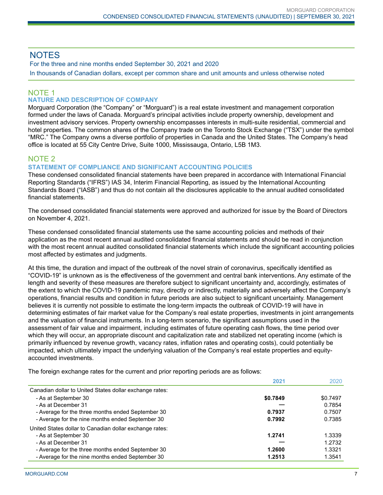## **NOTES**

For the three and nine months ended September 30, 2021 and 2020

In thousands of Canadian dollars, except per common share and unit amounts and unless otherwise noted

# NOTE 1

## **NATURE AND DESCRIPTION OF COMPANY**

Morguard Corporation (the "Company" or "Morguard") is a real estate investment and management corporation formed under the laws of Canada. Morguard's principal activities include property ownership, development and investment advisory services. Property ownership encompasses interests in multi-suite residential, commercial and hotel properties. The common shares of the Company trade on the Toronto Stock Exchange ("TSX") under the symbol "MRC." The Company owns a diverse portfolio of properties in Canada and the United States. The Company's head office is located at 55 City Centre Drive, Suite 1000, Mississauga, Ontario, L5B 1M3.

## NOTE 2

#### **STATEMENT OF COMPLIANCE AND SIGNIFICANT ACCOUNTING POLICIES**

These condensed consolidated financial statements have been prepared in accordance with International Financial Reporting Standards ("IFRS") IAS 34, Interim Financial Reporting, as issued by the International Accounting Standards Board ("IASB") and thus do not contain all the disclosures applicable to the annual audited consolidated financial statements.

The condensed consolidated financial statements were approved and authorized for issue by the Board of Directors on November 4, 2021.

These condensed consolidated financial statements use the same accounting policies and methods of their application as the most recent annual audited consolidated financial statements and should be read in conjunction with the most recent annual audited consolidated financial statements which include the significant accounting policies most affected by estimates and judgments.

At this time, the duration and impact of the outbreak of the novel strain of coronavirus, specifically identified as "COVID-19" is unknown as is the effectiveness of the government and central bank interventions. Any estimate of the length and severity of these measures are therefore subject to significant uncertainty and, accordingly, estimates of the extent to which the COVID-19 pandemic may, directly or indirectly, materially and adversely affect the Company's operations, financial results and condition in future periods are also subject to significant uncertainty. Management believes it is currently not possible to estimate the long-term impacts the outbreak of COVID-19 will have in determining estimates of fair market value for the Company's real estate properties, investments in joint arrangements and the valuation of financial instruments. In a long-term scenario, the significant assumptions used in the assessment of fair value and impairment, including estimates of future operating cash flows, the time period over which they will occur, an appropriate discount and capitalization rate and stabilized net operating income (which is primarily influenced by revenue growth, vacancy rates, inflation rates and operating costs), could potentially be impacted, which ultimately impact the underlying valuation of the Company's real estate properties and equityaccounted investments.

The foreign exchange rates for the current and prior reporting periods are as follows:

|                                                         | 2021     | 2020     |
|---------------------------------------------------------|----------|----------|
| Canadian dollar to United States dollar exchange rates: |          |          |
| - As at September 30                                    | \$0.7849 | \$0.7497 |
| - As at December 31                                     |          | 0.7854   |
| - Average for the three months ended September 30       | 0.7937   | 0.7507   |
| - Average for the nine months ended September 30        | 0.7992   | 0.7385   |
| United States dollar to Canadian dollar exchange rates: |          |          |
| - As at September 30                                    | 1.2741   | 1.3339   |
| - As at December 31                                     |          | 1.2732   |
| - Average for the three months ended September 30       | 1.2600   | 1.3321   |
| - Average for the nine months ended September 30        | 1.2513   | 1.3541   |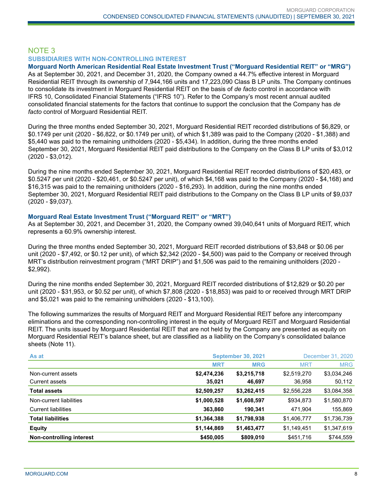#### NOTE 3 **SUBSIDIARIES WITH NON-CONTROLLING INTEREST**

**Morguard North American Residential Real Estate Investment Trust ("Morguard Residential REIT" or "MRG")** As at September 30, 2021, and December 31, 2020, the Company owned a 44.7% effective interest in Morguard Residential REIT through its ownership of 7,944,166 units and 17,223,090 Class B LP units. The Company continues

to consolidate its investment in Morguard Residential REIT on the basis of *de facto* control in accordance with IFRS 10, Consolidated Financial Statements ("IFRS 10"). Refer to the Company's most recent annual audited consolidated financial statements for the factors that continue to support the conclusion that the Company has *de facto* control of Morguard Residential REIT.

During the three months ended September 30, 2021, Morguard Residential REIT recorded distributions of \$6,829, or \$0.1749 per unit (2020 - \$6,822, or \$0.1749 per unit), of which \$1,389 was paid to the Company (2020 - \$1,388) and \$5,440 was paid to the remaining unitholders (2020 - \$5,434). In addition, during the three months ended September 30, 2021, Morguard Residential REIT paid distributions to the Company on the Class B LP units of \$3,012 (2020 - \$3,012).

During the nine months ended September 30, 2021, Morguard Residential REIT recorded distributions of \$20,483, or \$0.5247 per unit (2020 - \$20,461, or \$0.5247 per unit), of which \$4,168 was paid to the Company (2020 - \$4,168) and \$16,315 was paid to the remaining unitholders (2020 - \$16,293). In addition, during the nine months ended September 30, 2021, Morguard Residential REIT paid distributions to the Company on the Class B LP units of \$9,037 (2020 - \$9,037).

#### **Morguard Real Estate Investment Trust ("Morguard REIT" or "MRT")**

As at September 30, 2021, and December 31, 2020, the Company owned 39,040,641 units of Morguard REIT, which represents a 60.9% ownership interest.

During the three months ended September 30, 2021, Morguard REIT recorded distributions of \$3,848 or \$0.06 per unit (2020 - \$7,492, or \$0.12 per unit), of which \$2,342 (2020 - \$4,500) was paid to the Company or received through MRT's distribution reinvestment program ("MRT DRIP") and \$1,506 was paid to the remaining unitholders (2020 - \$2,992).

During the nine months ended September 30, 2021, Morguard REIT recorded distributions of \$12,829 or \$0.20 per unit (2020 - \$31,953, or \$0.52 per unit), of which \$7,808 (2020 - \$18,853) was paid to or received through MRT DRIP and \$5,021 was paid to the remaining unitholders (2020 - \$13,100).

The following summarizes the results of Morguard REIT and Morguard Residential REIT before any intercompany eliminations and the corresponding non-controlling interest in the equity of Morguard REIT and Morguard Residential REIT. The units issued by Morguard Residential REIT that are not held by the Company are presented as equity on Morguard Residential REIT's balance sheet, but are classified as a liability on the Company's consolidated balance sheets (Note 11).

| As at                      |             | <b>September 30, 2021</b> | December 31, 2020 |             |  |
|----------------------------|-------------|---------------------------|-------------------|-------------|--|
|                            | <b>MRT</b>  | <b>MRG</b>                | <b>MRT</b>        | <b>MRG</b>  |  |
| Non-current assets         | \$2,474,236 | \$3,215,718               | \$2,519,270       | \$3,034,246 |  |
| Current assets             | 35,021      | 46,697                    | 36,958            | 50,112      |  |
| <b>Total assets</b>        | \$2,509,257 | \$3,262,415               | \$2,556,228       | \$3,084,358 |  |
| Non-current liabilities    | \$1,000,528 | \$1,608,597               | \$934,873         | \$1,580,870 |  |
| <b>Current liabilities</b> | 363,860     | 190,341                   | 471,904           | 155,869     |  |
| <b>Total liabilities</b>   | \$1,364,388 | \$1,798,938               | \$1,406,777       | \$1,736,739 |  |
| <b>Equity</b>              | \$1,144,869 | \$1,463,477               | \$1,149,451       | \$1,347,619 |  |
| Non-controlling interest   | \$450,005   | \$809,010                 | \$451,716         | \$744,559   |  |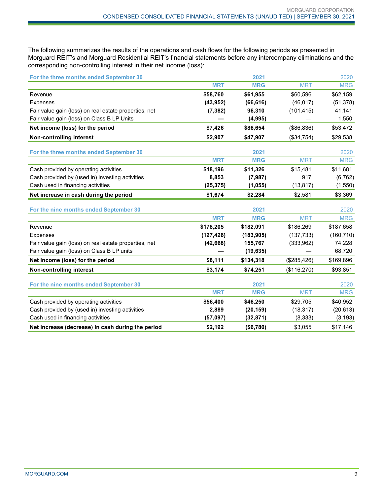The following summarizes the results of the operations and cash flows for the following periods as presented in Morguard REIT's and Morguard Residential REIT's financial statements before any intercompany eliminations and the corresponding non-controlling interest in their net income (loss):

| For the three months ended September 30               |            | 2021       |             | 2020       |
|-------------------------------------------------------|------------|------------|-------------|------------|
|                                                       | <b>MRT</b> | <b>MRG</b> | <b>MRT</b>  | <b>MRG</b> |
| Revenue                                               | \$58,760   | \$61,955   | \$60,596    | \$62,159   |
| Expenses                                              | (43, 952)  | (66, 616)  | (46, 017)   | (51, 378)  |
| Fair value gain (loss) on real estate properties, net | (7, 382)   | 96,310     | (101, 415)  | 41,141     |
| Fair value gain (loss) on Class B LP Units            |            | (4,995)    |             | 1,550      |
| Net income (loss) for the period                      | \$7,426    | \$86,654   | (\$86, 836) | \$53,472   |
| <b>Non-controlling interest</b>                       | \$2,907    | \$47,907   | (\$34,754)  | \$29,538   |
| For the three months ended September 30               |            | 2021       |             | 2020       |
|                                                       | <b>MRT</b> | <b>MRG</b> | <b>MRT</b>  | <b>MRG</b> |
| Cash provided by operating activities                 | \$18,196   | \$11,326   | \$15,481    | \$11,681   |
| Cash provided by (used in) investing activities       | 8,853      | (7,987)    | 917         | (6, 762)   |
| Cash used in financing activities                     | (25, 375)  | (1,055)    | (13, 817)   | (1, 550)   |
| Net increase in cash during the period                | \$1,674    | \$2,284    | \$2,581     | \$3,369    |
| For the nine months ended September 30                |            | 2021       |             | 2020       |
|                                                       | <b>MRT</b> | <b>MRG</b> | <b>MRT</b>  | <b>MRG</b> |
| Revenue                                               | \$178,205  | \$182,091  | \$186,269   | \$187,658  |
| <b>Expenses</b>                                       | (127, 426) | (183, 905) | (137, 733)  | (160, 710) |
| Fair value gain (loss) on real estate properties, net | (42, 668)  | 155,767    | (333,962)   | 74,228     |
| Fair value gain (loss) on Class B LP units            |            | (19, 635)  |             | 68,720     |
| Net income (loss) for the period                      | \$8,111    | \$134,318  | (\$285,426) | \$169,896  |
| <b>Non-controlling interest</b>                       | \$3,174    | \$74,251   | (\$116,270) | \$93,851   |
| For the nine months ended September 30                |            | 2021       |             | 2020       |
|                                                       | <b>MRT</b> | <b>MRG</b> | <b>MRT</b>  | <b>MRG</b> |
| Cash provided by operating activities                 | \$56,400   | \$46,250   | \$29,705    | \$40,952   |
| Cash provided by (used in) investing activities       | 2,889      | (20, 159)  | (18, 317)   | (20, 613)  |
| Cash used in financing activities                     | (57,097)   | (32, 871)  | (8, 333)    | (3, 193)   |
| Net increase (decrease) in cash during the period     | \$2,192    | (\$6,780)  | \$3,055     | \$17,146   |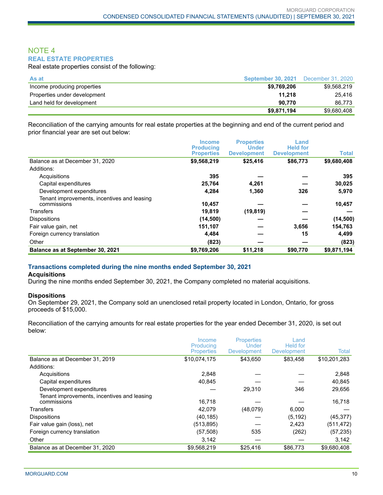#### NOTE 4 **REAL ESTATE PROPERTIES**

Real estate properties consist of the following:

| As at                        | <b>September 30, 2021</b> | December 31, 2020 |
|------------------------------|---------------------------|-------------------|
| Income producing properties  | \$9,769,206               | \$9.568.219       |
| Properties under development | 11.218                    | 25.416            |
| Land held for development    | 90.770                    | 86.773            |
|                              | \$9.871.194               | \$9.680.408       |

Reconciliation of the carrying amounts for real estate properties at the beginning and end of the current period and prior financial year are set out below:

|                                                            | <b>Income</b><br><b>Producing</b><br><b>Properties</b> | <b>Properties</b><br><b>Under</b><br><b>Development</b> | Land<br><b>Held for</b><br><b>Development</b> | <b>Total</b> |
|------------------------------------------------------------|--------------------------------------------------------|---------------------------------------------------------|-----------------------------------------------|--------------|
| Balance as at December 31, 2020                            | \$9,568,219                                            | \$25,416                                                | \$86,773                                      | \$9,680,408  |
| Additions:                                                 |                                                        |                                                         |                                               |              |
| Acquisitions                                               | 395                                                    |                                                         |                                               | 395          |
| Capital expenditures                                       | 25,764                                                 | 4,261                                                   |                                               | 30,025       |
| Development expenditures                                   | 4,284                                                  | 1,360                                                   | 326                                           | 5,970        |
| Tenant improvements, incentives and leasing<br>commissions | 10,457                                                 |                                                         |                                               | 10,457       |
| <b>Transfers</b>                                           | 19,819                                                 | (19, 819)                                               |                                               |              |
| <b>Dispositions</b>                                        | (14, 500)                                              |                                                         |                                               | (14,500)     |
| Fair value gain, net                                       | 151,107                                                |                                                         | 3,656                                         | 154,763      |
| Foreign currency translation                               | 4,484                                                  |                                                         | 15                                            | 4,499        |
| Other                                                      | (823)                                                  |                                                         |                                               | (823)        |
| Balance as at September 30, 2021                           | \$9,769,206                                            | \$11,218                                                | \$90,770                                      | \$9,871,194  |

#### **Transactions completed during the nine months ended September 30, 2021**

#### **Acquisitions**

During the nine months ended September 30, 2021, the Company completed no material acquisitions.

#### **Dispositions**

On September 29, 2021, the Company sold an unenclosed retail property located in London, Ontario, for gross proceeds of \$15,000.

Reconciliation of the carrying amounts for real estate properties for the year ended December 31, 2020, is set out below:

|                                                            | Income                         | <b>Properties</b>           | Land                                  |              |
|------------------------------------------------------------|--------------------------------|-----------------------------|---------------------------------------|--------------|
|                                                            | Producing<br><b>Properties</b> | Under<br><b>Development</b> | <b>Held for</b><br><b>Development</b> | Total        |
| Balance as at December 31, 2019                            | \$10,074,175                   | \$43.650                    | \$83.458                              | \$10,201,283 |
| Additions:                                                 |                                |                             |                                       |              |
| Acquisitions                                               | 2.848                          |                             |                                       | 2,848        |
| Capital expenditures                                       | 40.845                         |                             |                                       | 40,845       |
| Development expenditures                                   |                                | 29,310                      | 346                                   | 29,656       |
| Tenant improvements, incentives and leasing<br>commissions | 16,718                         |                             |                                       | 16,718       |
| <b>Transfers</b>                                           | 42.079                         | (48,079)                    | 6,000                                 |              |
| <b>Dispositions</b>                                        | (40, 185)                      |                             | (5, 192)                              | (45, 377)    |
| Fair value gain (loss), net                                | (513, 895)                     |                             | 2,423                                 | (511, 472)   |
| Foreign currency translation                               | (57, 508)                      | 535                         | (262)                                 | (57, 235)    |
| Other                                                      | 3,142                          |                             |                                       | 3,142        |
| Balance as at December 31, 2020                            | \$9.568.219                    | \$25,416                    | \$86,773                              | \$9,680,408  |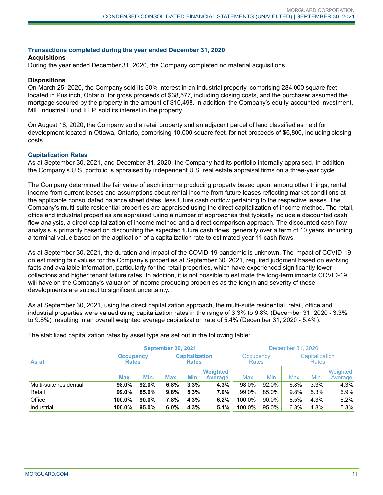#### **Transactions completed during the year ended December 31, 2020**

#### **Acquisitions**

During the year ended December 31, 2020, the Company completed no material acquisitions.

#### **Dispositions**

On March 25, 2020, the Company sold its 50% interest in an industrial property, comprising 284,000 square feet located in Puslinch, Ontario, for gross proceeds of \$38,577, including closing costs, and the purchaser assumed the mortgage secured by the property in the amount of \$10,498. In addition, the Company's equity-accounted investment, MIL Industrial Fund II LP, sold its interest in the property.

On August 18, 2020, the Company sold a retail property and an adjacent parcel of land classified as held for development located in Ottawa, Ontario, comprising 10,000 square feet, for net proceeds of \$6,800, including closing costs.

#### **Capitalization Rates**

As at September 30, 2021, and December 31, 2020, the Company had its portfolio internally appraised. In addition, the Company's U.S. portfolio is appraised by independent U.S. real estate appraisal firms on a three-year cycle.

The Company determined the fair value of each income producing property based upon, among other things, rental income from current leases and assumptions about rental income from future leases reflecting market conditions at the applicable consolidated balance sheet dates, less future cash outflow pertaining to the respective leases. The Company's multi-suite residential properties are appraised using the direct capitalization of income method. The retail, office and industrial properties are appraised using a number of approaches that typically include a discounted cash flow analysis, a direct capitalization of income method and a direct comparison approach. The discounted cash flow analysis is primarily based on discounting the expected future cash flows, generally over a term of 10 years, including a terminal value based on the application of a capitalization rate to estimated year 11 cash flows.

As at September 30, 2021, the duration and impact of the COVID-19 pandemic is unknown. The impact of COVID-19 on estimating fair values for the Company's properties at September 30, 2021, required judgment based on evolving facts and available information, particularly for the retail properties, which have experienced significantly lower collections and higher tenant failure rates. In addition, it is not possible to estimate the long-term impacts COVID-19 will have on the Company's valuation of income producing properties as the length and severity of these developments are subject to significant uncertainty.

As at September 30, 2021, using the direct capitalization approach, the multi-suite residential, retail, office and industrial properties were valued using capitalization rates in the range of 3.3% to 9.8% (December 31, 2020 - 3.3% to 9.8%), resulting in an overall weighted average capitalization rate of 5.4% (December 31, 2020 - 5.4%).

|                         | <b>September 30, 2021</b> |                                  |      |                                       |                                   | December 31, 2020         |       |                                |      |                     |
|-------------------------|---------------------------|----------------------------------|------|---------------------------------------|-----------------------------------|---------------------------|-------|--------------------------------|------|---------------------|
| As at                   |                           | <b>Occupancy</b><br><b>Rates</b> |      | <b>Capitalization</b><br><b>Rates</b> |                                   | Occupancy<br><b>Rates</b> |       | Capitalization<br><b>Rates</b> |      |                     |
|                         | Max.                      | Min.                             | Max. | Min.                                  | <b>Weighted</b><br><b>Average</b> | Max.                      | Min.  | Max.                           | Min. | Weighted<br>Average |
| Multi-suite residential | 98.0%                     | 92.0%                            | 6.8% | 3.3%                                  | 4.3%                              | 98.0%                     | 92.0% | 6.8%                           | 3.3% | 4.3%                |
| Retail                  | 99.0%                     | 85.0%                            | 9.8% | 5.3%                                  | 7.0%                              | 99.0%                     | 85.0% | 9.8%                           | 5.3% | 6.9%                |
| Office                  | 100.0%                    | $90.0\%$                         | 7.8% | 4.3%                                  | 6.2%                              | 100.0%                    | 90.0% | 8.5%                           | 4.3% | 6.2%                |
| Industrial              | 100.0%                    | 95.0%                            | 6.0% | 4.3%                                  | 5.1%                              | 100.0%                    | 95.0% | 6.8%                           | 4.8% | 5.3%                |

The stabilized capitalization rates by asset type are set out in the following table: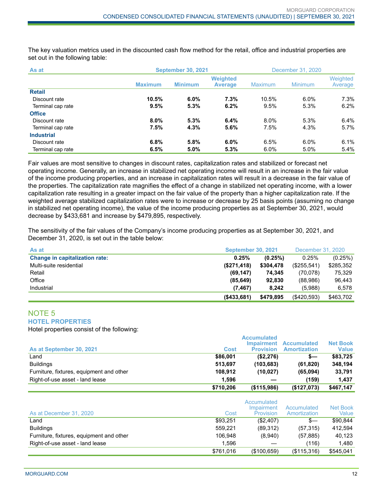The key valuation metrics used in the discounted cash flow method for the retail, office and industrial properties are set out in the following table:

| As at             | <b>September 30, 2021</b> |                |                                   | December 31, 2020 |                |                     |  |
|-------------------|---------------------------|----------------|-----------------------------------|-------------------|----------------|---------------------|--|
|                   | <b>Maximum</b>            | <b>Minimum</b> | <b>Weighted</b><br><b>Average</b> | Maximum           | <b>Minimum</b> | Weighted<br>Average |  |
| <b>Retail</b>     |                           |                |                                   |                   |                |                     |  |
| Discount rate     | 10.5%                     | $6.0\%$        | 7.3%                              | 10.5%             | 6.0%           | $7.3\%$             |  |
| Terminal cap rate | 9.5%                      | 5.3%           | 6.2%                              | 9.5%              | 5.3%           | 6.2%                |  |
| <b>Office</b>     |                           |                |                                   |                   |                |                     |  |
| Discount rate     | 8.0%                      | 5.3%           | 6.4%                              | 8.0%              | 5.3%           | 6.4%                |  |
| Terminal cap rate | 7.5%                      | 4.3%           | 5.6%                              | 7.5%              | 4.3%           | 5.7%                |  |
| <b>Industrial</b> |                           |                |                                   |                   |                |                     |  |
| Discount rate     | 6.8%                      | 5.8%           | 6.0%                              | 6.5%              | 6.0%           | 6.1%                |  |
| Terminal cap rate | 6.5%                      | 5.0%           | 5.3%                              | 6.0%              | 5.0%           | 5.4%                |  |

Fair values are most sensitive to changes in discount rates, capitalization rates and stabilized or forecast net operating income. Generally, an increase in stabilized net operating income will result in an increase in the fair value of the income producing properties, and an increase in capitalization rates will result in a decrease in the fair value of the properties. The capitalization rate magnifies the effect of a change in stabilized net operating income, with a lower capitalization rate resulting in a greater impact on the fair value of the property than a higher capitalization rate. If the weighted average stabilized capitalization rates were to increase or decrease by 25 basis points (assuming no change in stabilized net operating income), the value of the income producing properties as at September 30, 2021, would decrease by \$433,681 and increase by \$479,895, respectively.

The sensitivity of the fair values of the Company's income producing properties as at September 30, 2021, and December 31, 2020, is set out in the table below:

| As at                                 | <b>September 30, 2021</b> | December 31, 2020 |             |           |
|---------------------------------------|---------------------------|-------------------|-------------|-----------|
| <b>Change in capitalization rate:</b> | 0.25%                     | (0.25%)           | $0.25\%$    | (0.25%)   |
| Multi-suite residential               | (\$271,418)               | \$304,478         | (\$255,541) | \$285,352 |
| Retail                                | (69, 147)                 | 74.345            | (70,078)    | 75.329    |
| Office                                | (85, 649)                 | 92.830            | (88,986)    | 96.443    |
| Industrial                            | (7, 467)                  | 8.242             | (5,988)     | 6,578     |
|                                       | $($ \$433,681)            | \$479.895         | (\$420,593) | \$463,702 |

#### NOTE 5 **HOTEL PROPERTIES**

Hotel properties consist of the following:

| As at September 30, 2021                 | Cost      | <b>Accumulated</b><br><b>Impairment</b><br><b>Provision</b> | <b>Accumulated</b><br><b>Amortization</b> | <b>Net Book</b><br><b>Value</b> |
|------------------------------------------|-----------|-------------------------------------------------------------|-------------------------------------------|---------------------------------|
| Land                                     | \$86,001  | (\$2,276)                                                   | s—                                        | \$83,725                        |
| <b>Buildings</b>                         | 513.697   | (103, 683)                                                  | (61, 820)                                 | 348,194                         |
| Furniture, fixtures, equipment and other | 108.912   | (10.027)                                                    | (65,094)                                  | 33,791                          |
| Right-of-use asset - land lease          | 1.596     |                                                             | (159)                                     | 1.437                           |
|                                          | \$710,206 | (\$115,986)                                                 | (\$127,073)                               | \$467,147                       |

| As at December 31, 2020                  | Cost      | Accumulated<br>Impairment<br>Provision | Accumulated<br>Amortization | Net Book<br>Value |
|------------------------------------------|-----------|----------------------------------------|-----------------------------|-------------------|
| ∟and                                     | \$93,251  | (\$2,407)                              | $S-$                        | \$90.844          |
| <b>Buildings</b>                         | 559.221   | (89,312)                               | (57, 315)                   | 412,594           |
| Furniture, fixtures, equipment and other | 106.948   | (8,940)                                | (57, 885)                   | 40,123            |
| Right-of-use asset - land lease          | 1.596     |                                        | (116)                       | 1.480             |
|                                          | \$761,016 | (\$100,659)                            | (\$115,316)                 | \$545,041         |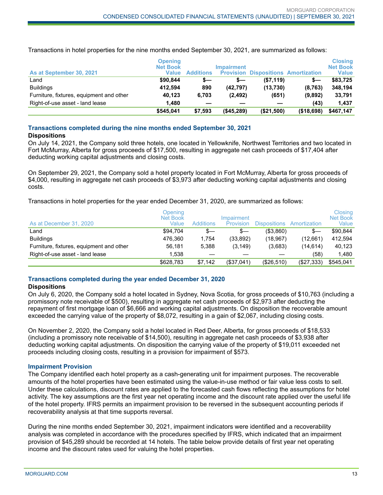**As at September 30, 2021 Opening Net Book Value Additions Impairment Provision Dispositions Amortization Closing**

| As at September 30, 2021                 | <b>UNGHIN</b><br><b>Net Book</b><br>Value | <b>Additions</b> | <b>Impairment</b><br><b>Provision</b> |            | <b>Dispositions Amortization</b> | <b>UIUSIIIU</b><br><b>Net Book</b><br>Value |
|------------------------------------------|-------------------------------------------|------------------|---------------------------------------|------------|----------------------------------|---------------------------------------------|
| Land                                     | \$90.844                                  | s—               |                                       | (S7.119)   | s—                               | \$83.725                                    |
| <b>Buildings</b>                         | 412.594                                   | 890              | (42.797)                              | (13.730)   | (8,763)                          | 348.194                                     |
| Furniture, fixtures, equipment and other | 40.123                                    | 6.703            | (2, 492)                              | (651)      | (9.892)                          | 33,791                                      |
| Right-of-use asset - land lease          | 1.480                                     |                  |                                       |            | (43)                             | 1.437                                       |
|                                          | \$545,041                                 | \$7,593          | ( \$45, 289)                          | (\$21,500) | (\$18,698)                       | \$467,147                                   |

Transactions in hotel properties for the nine months ended September 30, 2021, are summarized as follows:

#### **Transactions completed during the nine months ended September 30, 2021**

#### **Dispositions**

On July 14, 2021, the Company sold three hotels, one located in Yellowknife, Northwest Territories and two located in Fort McMurray, Alberta for gross proceeds of \$17,500, resulting in aggregate net cash proceeds of \$17,404 after deducting working capital adjustments and closing costs.

On September 29, 2021, the Company sold a hotel property located in Fort McMurray, Alberta for gross proceeds of \$4,000, resulting in aggregate net cash proceeds of \$3,973 after deducting working capital adjustments and closing costs.

Transactions in hotel properties for the year ended December 31, 2020, are summarized as follows:

| As at December 31, 2020                  | Opening<br>Net Book<br>Value | <b>Additions</b> | Impairment<br>Provision | <b>Dispositions</b> | Amortization | Closing<br><b>Net Book</b><br>Value |
|------------------------------------------|------------------------------|------------------|-------------------------|---------------------|--------------|-------------------------------------|
| ∟and                                     | \$94.704                     | s—               | $s-$                    | ( \$3,860)          | S—           | \$90.844                            |
| <b>Buildings</b>                         | 476.360                      | 1.754            | (33, 892)               | (18.967)            | (12,661)     | 412.594                             |
| Furniture, fixtures, equipment and other | 56,181                       | 5.388            | (3, 149)                | (3,683)             | (14.614)     | 40,123                              |
| Right-of-use asset - land lease          | 1.538                        |                  |                         |                     | (58)         | 1.480                               |
|                                          | \$628,783                    | \$7.142          | (\$37,041)              | (\$26,510)          | (\$27,333)   | \$545,041                           |

## **Transactions completed during the year ended December 31, 2020**

#### **Dispositions**

On July 6, 2020, the Company sold a hotel located in Sydney, Nova Scotia, for gross proceeds of \$10,763 (including a promissory note receivable of \$500), resulting in aggregate net cash proceeds of \$2,973 after deducting the repayment of first mortgage loan of \$6,666 and working capital adjustments. On disposition the recoverable amount exceeded the carrying value of the property of \$8,072, resulting in a gain of \$2,067, including closing costs.

On November 2, 2020, the Company sold a hotel located in Red Deer, Alberta, for gross proceeds of \$18,533 (including a promissory note receivable of \$14,500), resulting in aggregate net cash proceeds of \$3,938 after deducting working capital adjustments. On disposition the carrying value of the property of \$19,011 exceeded net proceeds including closing costs, resulting in a provision for impairment of \$573.

#### **Impairment Provision**

The Company identified each hotel property as a cash-generating unit for impairment purposes. The recoverable amounts of the hotel properties have been estimated using the value-in-use method or fair value less costs to sell. Under these calculations, discount rates are applied to the forecasted cash flows reflecting the assumptions for hotel activity. The key assumptions are the first year net operating income and the discount rate applied over the useful life of the hotel property. IFRS permits an impairment provision to be reversed in the subsequent accounting periods if recoverability analysis at that time supports reversal.

During the nine months ended September 30, 2021, impairment indicators were identified and a recoverability analysis was completed in accordance with the procedures specified by IFRS, which indicated that an impairment provision of \$45,289 should be recorded at 14 hotels. The table below provide details of first year net operating income and the discount rates used for valuing the hotel properties.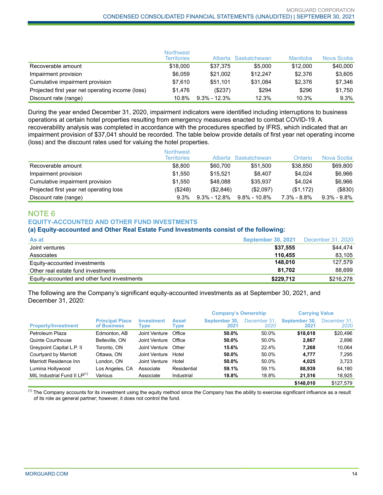|                                                  | <b>Northwest</b><br><b>Territories</b> |                  | Alberta Saskatchewan | Manitoba | Nova Scotia |
|--------------------------------------------------|----------------------------------------|------------------|----------------------|----------|-------------|
| Recoverable amount                               | \$18,000                               | \$37.375         | \$5,000              | \$12,000 | \$40,000    |
| Impairment provision                             | \$6.059                                | \$21.002         | \$12.247             | \$2.376  | \$3,605     |
| Cumulative impairment provision                  | \$7.610                                | \$51.101         | \$31.084             | \$2.376  | \$7,346     |
| Projected first year net operating income (loss) | \$1.476                                | (\$237)          | \$294                | \$296    | \$1,750     |
| Discount rate (range)                            | $10.8\%$                               | $9.3\% - 12.3\%$ | 12.3%                | 10.3%    | 9.3%        |

During the year ended December 31, 2020, impairment indicators were identified including interruptions to business operations at certain hotel properties resulting from emergency measures enacted to combat COVID-19. A recoverability analysis was completed in accordance with the procedures specified by IFRS, which indicated that an impairment provision of \$37,041 should be recorded. The table below provide details of first year net operating income (loss) and the discount rates used for valuing the hotel properties.

|                                         | <b>Northwest</b><br><b>Territories</b> |                 | Alberta Saskatchewan | Ontario         | Nova Scotia       |
|-----------------------------------------|----------------------------------------|-----------------|----------------------|-----------------|-------------------|
| Recoverable amount                      | \$8,800                                | \$60,700        | \$51.500             | \$38,850        | \$69,800          |
| Impairment provision                    | \$1.550                                | \$15.521        | \$8.407              | \$4,024         | \$6.966           |
| Cumulative impairment provision         | \$1.550                                | \$48.088        | \$35.937             | \$4,024         | \$6,966           |
| Projected first year net operating loss | $(\$248)$                              | (S2.846)        | (\$2,097)            | (\$1,172)       | ( \$830)          |
| Discount rate (range)                   | $9.3\%$                                | $9.3\%$ - 12.8% | $9.8\% - 10.8\%$     | $7.3\% - 8.8\%$ | $9.3\%$ - $9.8\%$ |

## NOTE 6 **EQUITY-ACCOUNTED AND OTHER FUND INVESTMENTS**

#### **(a) Equity-accounted and Other Real Estate Fund Investments consist of the following:**

| As at                                       | <b>September 30, 2021</b> | December 31, 2020 |
|---------------------------------------------|---------------------------|-------------------|
| Joint ventures                              | \$37.555                  | \$44,474          |
| Associates                                  | 110.455                   | 83.105            |
| Equity-accounted investments                | 148.010                   | 127.579           |
| Other real estate fund investments          | 81.702                    | 88.699            |
| Equity-accounted and other fund investments | \$229,712                 | \$216,278         |

The following are the Company's significant equity-accounted investments as at September 30, 2021, and December 31, 2020:

|                                          |                                       |                           |                      | <b>Company's Ownership</b> |                      | <b>Carrying Value</b> |                      |
|------------------------------------------|---------------------------------------|---------------------------|----------------------|----------------------------|----------------------|-----------------------|----------------------|
| <b>Property/Investment</b>               | <b>Principal Place</b><br>of Business | <b>Investment</b><br>Type | <b>Asset</b><br>Type | September 30.<br>2021      | December 31.<br>2020 | September 30.<br>2021 | December 31.<br>2020 |
| Petroleum Plaza                          | Edmonton, AB                          | Joint Venture             | Office               | 50.0%                      | 50.0%                | \$18,618              | \$20,496             |
| Quinte Courthouse                        | Belleville, ON                        | Joint Venture             | Office               | 50.0%                      | 50.0%                | 2.867                 | 2,896                |
| Greypoint Capital L.P. II                | Toronto, ON                           | Joint Venture             | Other                | 15.6%                      | 22.4%                | 7.268                 | 10.064               |
| Courtyard by Marriott                    | Ottawa, ON                            | Joint Venture             | Hotel                | 50.0%                      | 50.0%                | 4.777                 | 7.295                |
| Marriott Residence Inn                   | London, ON                            | Joint Venture             | Hotel                | 50.0%                      | 50.0%                | 4.025                 | 3.723                |
| Lumina Hollywood                         | Los Angeles, CA                       | Associate                 | Residential          | 59.1%                      | 59.1%                | 88.939                | 64,180               |
| MIL Industrial Fund II LP <sup>(1)</sup> | Various                               | Associate                 | Industrial           | 18.8%                      | 18.8%                | 21,516                | 18,925               |
|                                          |                                       |                           |                      |                            |                      | \$148,010             | \$127.579            |

 $<sup>(1)</sup>$  The Company accounts for its investment using the equity method since the Company has the ability to exercise significant influence as a result</sup> of its role as general partner; however, it does not control the fund.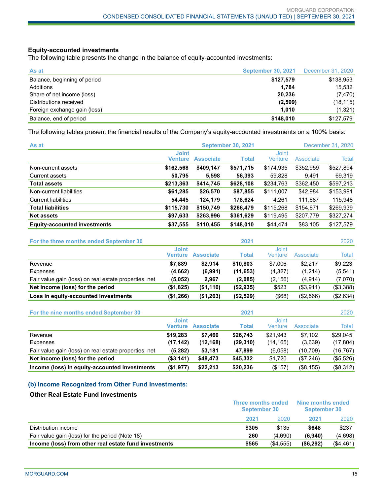#### **Equity-accounted investments**

The following table presents the change in the balance of equity-accounted investments:

| As at                        | <b>September 30, 2021</b> | December 31, 2020 |
|------------------------------|---------------------------|-------------------|
| Balance, beginning of period | \$127,579                 | \$138,953         |
| Additions                    | 1.784                     | 15,532            |
| Share of net income (loss)   | 20.236                    | (7, 470)          |
| Distributions received       | (2,599)                   | (18, 115)         |
| Foreign exchange gain (loss) | 1.010                     | (1,321)           |
| Balance, end of period       | \$148,010                 | \$127,579         |

The following tables present the financial results of the Company's equity-accounted investments on a 100% basis:

| As at                               | <b>September 30, 2021</b><br>December 31, 2020 |                  |              |                         |           |           |
|-------------------------------------|------------------------------------------------|------------------|--------------|-------------------------|-----------|-----------|
|                                     | <b>Joint</b><br><b>Venture</b>                 | <b>Associate</b> | <b>Total</b> | <b>Joint</b><br>Venture | Associate | Total     |
| Non-current assets                  | \$162,568                                      | \$409,147        | \$571,715    | \$174,935               | \$352,959 | \$527,894 |
| Current assets                      | 50,795                                         | 5.598            | 56,393       | 59,828                  | 9.491     | 69,319    |
| <b>Total assets</b>                 | \$213,363                                      | \$414,745        | \$628,108    | \$234,763               | \$362,450 | \$597,213 |
| Non-current liabilities             | \$61,285                                       | \$26,570         | \$87,855     | \$111,007               | \$42,984  | \$153,991 |
| <b>Current liabilities</b>          | 54,445                                         | 124,179          | 178,624      | 4,261                   | 111,687   | 115,948   |
| <b>Total liabilities</b>            | \$115,730                                      | \$150,749        | \$266,479    | \$115,268               | \$154,671 | \$269,939 |
| <b>Net assets</b>                   | \$97,633                                       | \$263,996        | \$361,629    | \$119,495               | \$207,779 | \$327,274 |
| <b>Equity-accounted investments</b> | \$37,555                                       | \$110.455        | \$148,010    | \$44,474                | \$83,105  | \$127.579 |

| For the three months ended September 30               |                         |                  | 2021      |                         |           | 2020         |
|-------------------------------------------------------|-------------------------|------------------|-----------|-------------------------|-----------|--------------|
|                                                       | <b>Joint</b><br>Venture | <b>Associate</b> | Total     | <b>Joint</b><br>Venture | Associate | <b>Total</b> |
| Revenue                                               | \$7.889                 | \$2.914          | \$10,803  | \$7,006                 | \$2.217   | \$9.223      |
| Expenses                                              | (4,662)                 | (6,991)          | (11, 653) | (4,327)                 | (1,214)   | (5, 541)     |
| Fair value gain (loss) on real estate properties, net | (5,052)                 | 2.967            | (2,085)   | (2, 156)                | (4, 914)  | (7,070)      |
| Net income (loss) for the period                      | (\$1,825)               | (\$1,110)        | (\$2,935) | \$523                   | (\$3,911) | (\$3,388)    |
| Loss in equity-accounted investments                  | (\$1,266)               | (\$1,263)        | (\$2,529) | (\$68)                  | (\$2,566) | (\$2,634)    |

| For the nine months ended September 30                |                                |                  | 2021      |                  |           | 2020         |
|-------------------------------------------------------|--------------------------------|------------------|-----------|------------------|-----------|--------------|
|                                                       | <b>Joint</b><br><b>Venture</b> | <b>Associate</b> | Total     | Joint<br>Venture | Associate | <b>Total</b> |
| Revenue                                               | \$19.283                       | \$7.460          | \$26.743  | \$21.943         | \$7.102   | \$29,045     |
| Expenses                                              | (17, 142)                      | (12, 168)        | (29, 310) | (14, 165)        | (3,639)   | (17, 804)    |
| Fair value gain (loss) on real estate properties, net | (5,282)                        | 53,181           | 47.899    | (6,058)          | (10, 709) | (16, 767)    |
| Net income (loss) for the period                      | ( \$3,141)                     | \$48,473         | \$45,332  | \$1,720          | (\$7,246) | (\$5,526)    |
| Income (loss) in equity-accounted investments         | (\$1,977)                      | \$22.213         | \$20,236  | (\$157)          | (\$8,155) | (\$8,312)    |

#### **(b) Income Recognized from Other Fund Investments:**

#### **Other Real Estate Fund Investments**

|                                                       | <b>Three months ended</b><br><b>September 30</b> |          | Nine months ended<br><b>September 30</b> |           |
|-------------------------------------------------------|--------------------------------------------------|----------|------------------------------------------|-----------|
|                                                       | 2021                                             | 2020     | 2021                                     | 2020      |
| Distribution income                                   | \$305                                            | \$135    | \$648                                    | \$237     |
| Fair value gain (loss) for the period (Note 18)       | 260                                              | (4.690)  | (6.940)                                  | (4,698)   |
| Income (loss) from other real estate fund investments | \$565                                            | (S4.555) | ( \$6,292)                               | (\$4,461) |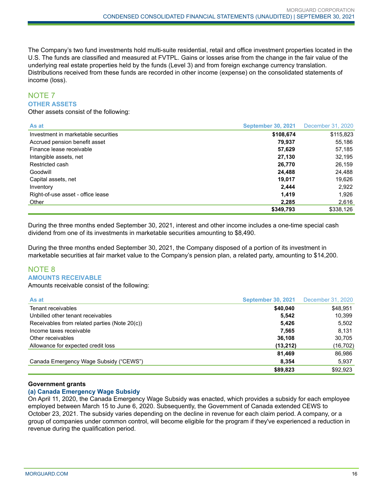The Company's two fund investments hold multi-suite residential, retail and office investment properties located in the U.S. The funds are classified and measured at FVTPL. Gains or losses arise from the change in the fair value of the underlying real estate properties held by the funds (Level 3) and from foreign exchange currency translation. Distributions received from these funds are recorded in other income (expense) on the consolidated statements of income (loss).

#### NOTE 7 **OTHER ASSETS**

Other assets consist of the following:

| As at                               | <b>September 30, 2021</b> | December 31, 2020 |
|-------------------------------------|---------------------------|-------------------|
| Investment in marketable securities | \$108,674                 | \$115,823         |
| Accrued pension benefit asset       | 79.937                    | 55,186            |
| Finance lease receivable            | 57,629                    | 57,185            |
| Intangible assets, net              | 27,130                    | 32,195            |
| Restricted cash                     | 26.770                    | 26,159            |
| Goodwill                            | 24,488                    | 24,488            |
| Capital assets, net                 | 19.017                    | 19,626            |
| Inventory                           | 2,444                     | 2,922             |
| Right-of-use asset - office lease   | 1,419                     | 1.926             |
| Other                               | 2.285                     | 2,616             |
|                                     | \$349,793                 | \$338,126         |

During the three months ended September 30, 2021, interest and other income includes a one-time special cash dividend from one of its investments in marketable securities amounting to \$8,490.

During the three months ended September 30, 2021, the Company disposed of a portion of its investment in marketable securities at fair market value to the Company's pension plan, a related party, amounting to \$14,200.

## NOTE 8 **AMOUNTS RECEIVABLE**

Amounts receivable consist of the following:

| As at                                         | <b>September 30, 2021</b> | December 31, 2020 |
|-----------------------------------------------|---------------------------|-------------------|
| Tenant receivables                            | \$40,040                  | \$48,951          |
| Unbilled other tenant receivables             | 5.542                     | 10,399            |
| Receivables from related parties (Note 20(c)) | 5,426                     | 5,502             |
| Income taxes receivable                       | 7,565                     | 8,131             |
| Other receivables                             | 36.108                    | 30,705            |
| Allowance for expected credit loss            | (13,212)                  | (16, 702)         |
|                                               | 81,469                    | 86,986            |
| Canada Emergency Wage Subsidy ("CEWS")        | 8,354                     | 5,937             |
|                                               | \$89,823                  | \$92,923          |

#### **Government grants**

#### **(a) Canada Emergency Wage Subsidy**

On April 11, 2020, the Canada Emergency Wage Subsidy was enacted, which provides a subsidy for each employee employed between March 15 to June 6, 2020. Subsequently, the Government of Canada extended CEWS to October 23, 2021. The subsidy varies depending on the decline in revenue for each claim period. A company, or a group of companies under common control, will become eligible for the program if they've experienced a reduction in revenue during the qualification period.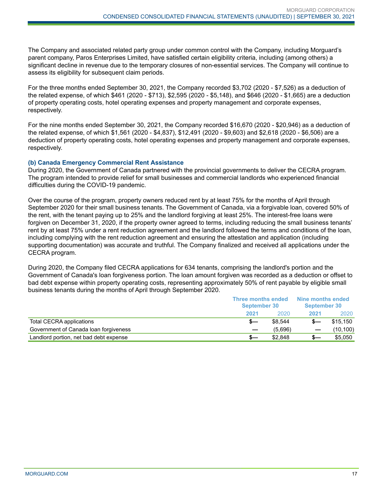The Company and associated related party group under common control with the Company, including Morguard's parent company, Paros Enterprises Limited, have satisfied certain eligibility criteria, including (among others) a significant decline in revenue due to the temporary closures of non-essential services. The Company will continue to assess its eligibility for subsequent claim periods.

For the three months ended September 30, 2021, the Company recorded \$3,702 (2020 - \$7,526) as a deduction of the related expense, of which \$461 (2020 - \$713), \$2,595 (2020 - \$5,148), and \$646 (2020 - \$1,665) are a deduction of property operating costs, hotel operating expenses and property management and corporate expenses, respectively.

For the nine months ended September 30, 2021, the Company recorded \$16,670 (2020 - \$20,946) as a deduction of the related expense, of which \$1,561 (2020 - \$4,837), \$12,491 (2020 - \$9,603) and \$2,618 (2020 - \$6,506) are a deduction of property operating costs, hotel operating expenses and property management and corporate expenses, respectively.

#### **(b) Canada Emergency Commercial Rent Assistance**

During 2020, the Government of Canada partnered with the provincial governments to deliver the CECRA program. The program intended to provide relief for small businesses and commercial landlords who experienced financial difficulties during the COVID-19 pandemic.

Over the course of the program, property owners reduced rent by at least 75% for the months of April through September 2020 for their small business tenants. The Government of Canada, via a forgivable loan, covered 50% of the rent, with the tenant paying up to 25% and the landlord forgiving at least 25%. The interest-free loans were forgiven on December 31, 2020, if the property owner agreed to terms, including reducing the small business tenants' rent by at least 75% under a rent reduction agreement and the landlord followed the terms and conditions of the loan, including complying with the rent reduction agreement and ensuring the attestation and application (including supporting documentation) was accurate and truthful. The Company finalized and received all applications under the CECRA program.

During 2020, the Company filed CECRA applications for 634 tenants, comprising the landlord's portion and the Government of Canada's loan forgiveness portion. The loan amount forgiven was recorded as a deduction or offset to bad debt expense within property operating costs, representing approximately 50% of rent payable by eligible small business tenants during the months of April through September 2020.

|                                        | <b>Three months ended</b><br><b>September 30</b> |         | Nine months ended<br><b>September 30</b> |           |
|----------------------------------------|--------------------------------------------------|---------|------------------------------------------|-----------|
|                                        | 2021                                             | 2020    | 2021                                     | 2020      |
| Total CECRA applications               |                                                  | \$8.544 |                                          | \$15,150  |
| Government of Canada Ioan forgiveness  |                                                  | (5.696) |                                          | (10, 100) |
| Landlord portion, net bad debt expense |                                                  | \$2,848 | $s-$                                     | \$5,050   |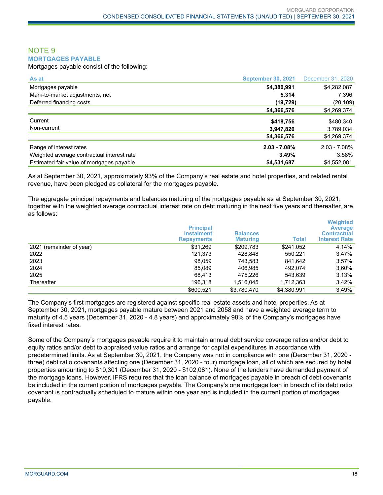#### NOTE 9 **MORTGAGES PAYABLE**

Mortgages payable consist of the following:

| As at                                      | <b>September 30, 2021</b> | December 31, 2020 |
|--------------------------------------------|---------------------------|-------------------|
| Mortgages payable                          | \$4,380,991               | \$4,282,087       |
| Mark-to-market adjustments, net            | 5,314                     | 7,396             |
| Deferred financing costs                   | (19, 729)                 | (20, 109)         |
|                                            | \$4,366,576               | \$4,269,374       |
| Current                                    | \$418,756                 | \$480,340         |
| Non-current                                | 3,947,820                 | 3,789,034         |
|                                            | \$4,366,576               | \$4,269,374       |
| Range of interest rates                    | $2.03 - 7.08%$            | $2.03 - 7.08\%$   |
| Weighted average contractual interest rate | 3.49%                     | 3.58%             |
| Estimated fair value of mortgages payable  | \$4,531,687               | \$4,552,081       |

As at September 30, 2021, approximately 93% of the Company's real estate and hotel properties, and related rental revenue, have been pledged as collateral for the mortgages payable.

The aggregate principal repayments and balances maturing of the mortgages payable as at September 30, 2021, together with the weighted average contractual interest rate on debt maturing in the next five years and thereafter, are as follows:

|                          | <b>Principal</b><br><b>Instalment</b><br><b>Repayments</b> | <b>Balances</b><br><b>Maturing</b> | <b>Total</b> | <b>Weighted</b><br><b>Average</b><br><b>Contractual</b><br><b>Interest Rate</b> |
|--------------------------|------------------------------------------------------------|------------------------------------|--------------|---------------------------------------------------------------------------------|
| 2021 (remainder of year) | \$31,269                                                   | \$209,783                          | \$241,052    | 4.14%                                                                           |
| 2022                     | 121.373                                                    | 428,848                            | 550.221      | 3.47%                                                                           |
| 2023                     | 98.059                                                     | 743.583                            | 841.642      | 3.57%                                                                           |
| 2024                     | 85,089                                                     | 406,985                            | 492.074      | 3.60%                                                                           |
| 2025                     | 68.413                                                     | 475,226                            | 543.639      | 3.13%                                                                           |
| Thereafter               | 196,318                                                    | 1,516,045                          | 1,712,363    | 3.42%                                                                           |
|                          | \$600.521                                                  | \$3.780.470                        | \$4,380,991  | 3.49%                                                                           |

The Company's first mortgages are registered against specific real estate assets and hotel properties. As at September 30, 2021, mortgages payable mature between 2021 and 2058 and have a weighted average term to maturity of 4.5 years (December 31, 2020 - 4.8 years) and approximately 98% of the Company's mortgages have fixed interest rates.

Some of the Company's mortgages payable require it to maintain annual debt service coverage ratios and/or debt to equity ratios and/or debt to appraised value ratios and arrange for capital expenditures in accordance with predetermined limits. As at September 30, 2021, the Company was not in compliance with one (December 31, 2020 three) debt ratio covenants affecting one (December 31, 2020 - four) mortgage loan, all of which are secured by hotel properties amounting to \$10,301 (December 31, 2020 - \$102,081). None of the lenders have demanded payment of the mortgage loans. However, IFRS requires that the loan balance of mortgages payable in breach of debt covenants be included in the current portion of mortgages payable. The Company's one mortgage loan in breach of its debt ratio covenant is contractually scheduled to mature within one year and is included in the current portion of mortgages payable.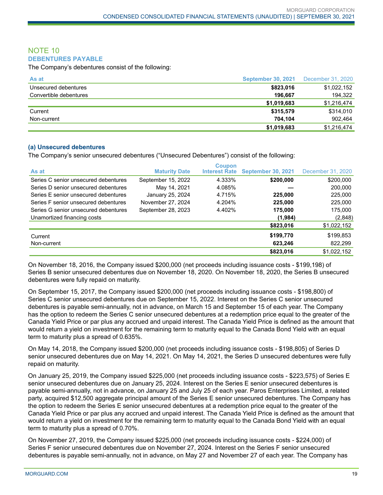#### NOTE 10 **DEBENTURES PAYABLE**

The Company's debentures consist of the following:

| As at                  | <b>September 30, 2021</b> | December 31, 2020 |
|------------------------|---------------------------|-------------------|
| Unsecured debentures   | \$823,016                 | \$1,022,152       |
| Convertible debentures | 196.667                   | 194.322           |
|                        | \$1,019,683               | \$1,216,474       |
| Current                | \$315,579                 | \$314,010         |
| Non-current            | 704.104                   | 902.464           |
|                        | \$1,019,683               | \$1,216,474       |

#### **(a) Unsecured debentures**

The Company's senior unsecured debentures ("Unsecured Debentures") consist of the following:

| As at                                | <b>Maturity Date</b> | <b>Coupon</b><br><b>Interest Rate</b> | <b>September 30, 2021</b> | December 31, 2020 |
|--------------------------------------|----------------------|---------------------------------------|---------------------------|-------------------|
| Series C senior unsecured debentures | September 15, 2022   | 4.333%                                | \$200,000                 | \$200,000         |
| Series D senior unsecured debentures | May 14, 2021         | 4.085%                                |                           | 200,000           |
| Series E senior unsecured debentures | January 25, 2024     | 4.715%                                | 225.000                   | 225,000           |
| Series F senior unsecured debentures | November 27, 2024    | 4.204%                                | 225,000                   | 225,000           |
| Series G senior unsecured debentures | September 28, 2023   | 4.402%                                | 175,000                   | 175,000           |
| Unamortized financing costs          |                      |                                       | (1,984)                   | (2,848)           |
|                                      |                      |                                       | \$823,016                 | \$1,022,152       |
| Current                              |                      |                                       | \$199,770                 | \$199,853         |
| Non-current                          |                      |                                       | 623,246                   | 822,299           |
|                                      |                      |                                       | \$823,016                 | \$1,022,152       |

On November 18, 2016, the Company issued \$200,000 (net proceeds including issuance costs - \$199,198) of Series B senior unsecured debentures due on November 18, 2020. On November 18, 2020, the Series B unsecured debentures were fully repaid on maturity.

On September 15, 2017, the Company issued \$200,000 (net proceeds including issuance costs - \$198,800) of Series C senior unsecured debentures due on September 15, 2022. Interest on the Series C senior unsecured debentures is payable semi-annually, not in advance, on March 15 and September 15 of each year. The Company has the option to redeem the Series C senior unsecured debentures at a redemption price equal to the greater of the Canada Yield Price or par plus any accrued and unpaid interest. The Canada Yield Price is defined as the amount that would return a yield on investment for the remaining term to maturity equal to the Canada Bond Yield with an equal term to maturity plus a spread of 0.635%.

On May 14, 2018, the Company issued \$200,000 (net proceeds including issuance costs - \$198,805) of Series D senior unsecured debentures due on May 14, 2021. On May 14, 2021, the Series D unsecured debentures were fully repaid on maturity.

On January 25, 2019, the Company issued \$225,000 (net proceeds including issuance costs - \$223,575) of Series E senior unsecured debentures due on January 25, 2024. Interest on the Series E senior unsecured debentures is payable semi-annually, not in advance, on January 25 and July 25 of each year. Paros Enterprises Limited, a related party, acquired \$12,500 aggregate principal amount of the Series E senior unsecured debentures. The Company has the option to redeem the Series E senior unsecured debentures at a redemption price equal to the greater of the Canada Yield Price or par plus any accrued and unpaid interest. The Canada Yield Price is defined as the amount that would return a yield on investment for the remaining term to maturity equal to the Canada Bond Yield with an equal term to maturity plus a spread of 0.70%.

On November 27, 2019, the Company issued \$225,000 (net proceeds including issuance costs - \$224,000) of Series F senior unsecured debentures due on November 27, 2024. Interest on the Series F senior unsecured debentures is payable semi-annually, not in advance, on May 27 and November 27 of each year. The Company has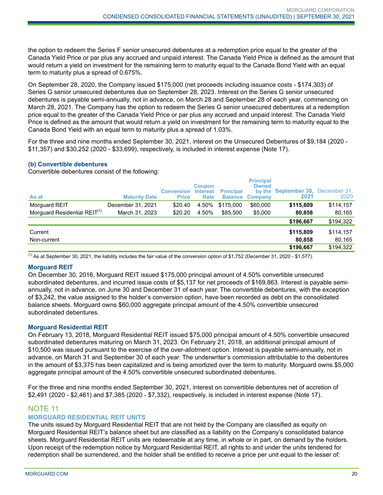the option to redeem the Series F senior unsecured debentures at a redemption price equal to the greater of the Canada Yield Price or par plus any accrued and unpaid interest. The Canada Yield Price is defined as the amount that would return a yield on investment for the remaining term to maturity equal to the Canada Bond Yield with an equal term to maturity plus a spread of 0.675%.

On September 28, 2020, the Company issued \$175,000 (net proceeds including issuance costs - \$174,303) of Series G senior unsecured debentures due on September 28, 2023. Interest on the Series G senior unsecured debentures is payable semi-annually, not in advance, on March 28 and September 28 of each year, commencing on March 28, 2021. The Company has the option to redeem the Series G senior unsecured debentures at a redemption price equal to the greater of the Canada Yield Price or par plus any accrued and unpaid interest. The Canada Yield Price is defined as the amount that would return a yield on investment for the remaining term to maturity equal to the Canada Bond Yield with an equal term to maturity plus a spread of 1.03%.

For the three and nine months ended September 30, 2021, interest on the Unsecured Debentures of \$9,184 (2020 - \$11,357) and \$30,252 (2020 - \$33,699), respectively, is included in interest expense (Note 17).

#### **(b) Convertible debentures**

Convertible debentures consist of the following:

| As at                                    | <b>Maturity Date</b> | <b>Conversion</b><br><b>Price</b> | <b>Coupon</b><br><b>Interest</b><br><b>Rate</b> | <b>Principal</b> | <b>Principal</b><br><b>Owned</b><br>by the<br><b>Balance Company</b> | <b>September 30, December 31,</b><br>2021 | 2020      |
|------------------------------------------|----------------------|-----------------------------------|-------------------------------------------------|------------------|----------------------------------------------------------------------|-------------------------------------------|-----------|
| Morguard REIT                            | December 31, 2021    | \$20.40                           | 4.50%                                           | \$175,000        | \$60,000                                                             | \$115,809                                 | \$114,157 |
| Morguard Residential REIT <sup>(1)</sup> | March 31, 2023       | \$20.20                           | 4.50%                                           | \$85,500         | \$5,000                                                              | 80,858                                    | 80,165    |
|                                          |                      |                                   |                                                 |                  |                                                                      | \$196,667                                 | \$194,322 |
| Current                                  |                      |                                   |                                                 |                  |                                                                      | \$115,809                                 | \$114,157 |
| Non-current                              |                      |                                   |                                                 |                  |                                                                      | 80.858                                    | 80,165    |
|                                          |                      |                                   |                                                 |                  |                                                                      | \$196,667                                 | \$194,322 |

 $<sup>(1)</sup>$  As at September 30, 2021, the liability includes the fair value of the conversion option of \$1,752 (December 31, 2020 - \$1,577).</sup>

#### **Morguard REIT**

On December 30, 2016, Morguard REIT issued \$175,000 principal amount of 4.50% convertible unsecured subordinated debentures, and incurred issue costs of \$5,137 for net proceeds of \$169,863. Interest is payable semiannually, not in advance, on June 30 and December 31 of each year. The convertible debentures, with the exception of \$3,242, the value assigned to the holder's conversion option, have been recorded as debt on the consolidated balance sheets. Morguard owns \$60,000 aggregate principal amount of the 4.50% convertible unsecured subordinated debentures.

#### **Morguard Residential REIT**

On February 13, 2018, Morguard Residential REIT issued \$75,000 principal amount of 4.50% convertible unsecured subordinated debentures maturing on March 31, 2023. On February 21, 2018, an additional principal amount of \$10,500 was issued pursuant to the exercise of the over-allotment option. Interest is payable semi-annually, not in advance, on March 31 and September 30 of each year. The underwriter's commission attributable to the debentures in the amount of \$3,375 has been capitalized and is being amortized over the term to maturity. Morguard owns \$5,000 aggregate principal amount of the 4.50% convertible unsecured subordinated debentures.

For the three and nine months ended September 30, 2021, interest on convertible debentures net of accretion of \$2,491 (2020 - \$2,461) and \$7,385 (2020 - \$7,332), respectively, is included in interest expense (Note 17).

## NOTE 11

#### **MORGUARD RESIDENTIAL REIT UNITS**

The units issued by Morguard Residential REIT that are not held by the Company are classified as equity on Morguard Residential REIT's balance sheet but are classified as a liability on the Company's consolidated balance sheets. Morguard Residential REIT units are redeemable at any time, in whole or in part, on demand by the holders. Upon receipt of the redemption notice by Morguard Residential REIT, all rights to and under the units tendered for redemption shall be surrendered, and the holder shall be entitled to receive a price per unit equal to the lesser of: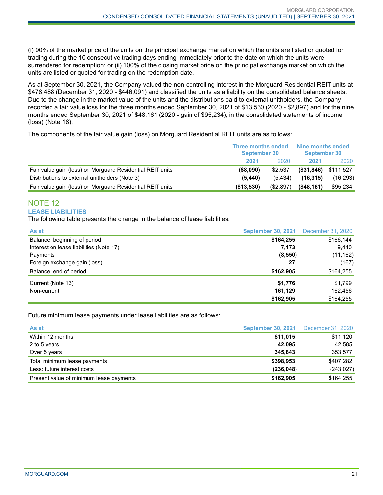(i) 90% of the market price of the units on the principal exchange market on which the units are listed or quoted for trading during the 10 consecutive trading days ending immediately prior to the date on which the units were surrendered for redemption; or (ii) 100% of the closing market price on the principal exchange market on which the units are listed or quoted for trading on the redemption date.

As at September 30, 2021, the Company valued the non-controlling interest in the Morguard Residential REIT units at \$478,488 (December 31, 2020 - \$446,091) and classified the units as a liability on the consolidated balance sheets. Due to the change in the market value of the units and the distributions paid to external unitholders, the Company recorded a fair value loss for the three months ended September 30, 2021 of \$13,530 (2020 - \$2,897) and for the nine months ended September 30, 2021 of \$48,161 (2020 - gain of \$95,234), in the consolidated statements of income (loss) (Note 18).

The components of the fair value gain (loss) on Morguard Residential REIT units are as follows:

|                                                           | <b>Three months ended</b><br><b>September 30</b> |           | Nine months ended<br><b>September 30</b> |           |
|-----------------------------------------------------------|--------------------------------------------------|-----------|------------------------------------------|-----------|
|                                                           | 2021                                             | 2020      | 2021                                     | 2020      |
| Fair value gain (loss) on Morguard Residential REIT units | ( \$8,090)                                       | \$2,537   | $($ \$31,846)                            | \$111,527 |
| Distributions to external unitholders (Note 3)            | (5.440)                                          | (5.434)   | (16.315)                                 | (16, 293) |
| Fair value gain (loss) on Morguard Residential REIT units | (\$13,530)                                       | (\$2,897) | ( \$48, 161)                             | \$95,234  |

#### NOTE 12 **LEASE LIABILITIES**

The following table presents the change in the balance of lease liabilities:

| As at                                   | <b>September 30, 2021</b> | December 31, 2020 |
|-----------------------------------------|---------------------------|-------------------|
| Balance, beginning of period            | \$164,255                 | \$166,144         |
| Interest on lease liabilities (Note 17) | 7,173                     | 9,440             |
| Payments                                | (8, 550)                  | (11, 162)         |
| Foreign exchange gain (loss)            | 27                        | (167)             |
| Balance, end of period                  | \$162,905                 | \$164,255         |
| Current (Note 13)                       | \$1,776                   | \$1,799           |
| Non-current                             | 161,129                   | 162,456           |
|                                         | \$162,905                 | \$164,255         |

Future minimum lease payments under lease liabilities are as follows:

| As at                                   | <b>September 30, 2021</b> December 31, 2020 |            |
|-----------------------------------------|---------------------------------------------|------------|
| Within 12 months                        | \$11,015                                    | \$11,120   |
| 2 to 5 years                            | 42.095                                      | 42.585     |
| Over 5 years                            | 345.843                                     | 353,577    |
| Total minimum lease payments            | \$398,953                                   | \$407,282  |
| Less: future interest costs             | (236, 048)                                  | (243, 027) |
| Present value of minimum lease payments | \$162,905                                   | \$164,255  |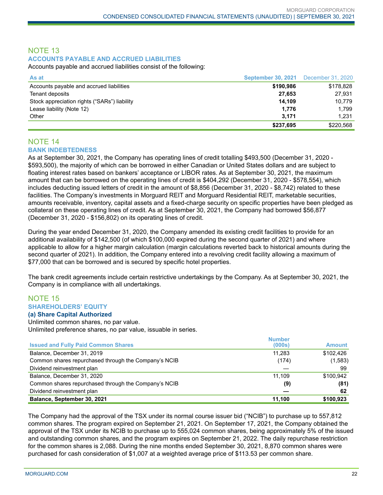## NOTE 13 **ACCOUNTS PAYABLE AND ACCRUED LIABILITIES**

Accounts payable and accrued liabilities consist of the following:

| As at                                        | <b>September 30, 2021</b> December 31, 2020 |           |
|----------------------------------------------|---------------------------------------------|-----------|
| Accounts payable and accrued liabilities     | \$190,986                                   | \$178,828 |
| Tenant deposits                              | 27.653                                      | 27.931    |
| Stock appreciation rights ("SARs") liability | 14.109                                      | 10.779    |
| Lease liability (Note 12)                    | 1.776                                       | 1.799     |
| Other                                        | 3.171                                       | 1.231     |
|                                              | \$237,695                                   | \$220,568 |

#### NOTE 14 **BANK INDEBTEDNESS**

As at September 30, 2021, the Company has operating lines of credit totalling \$493,500 (December 31, 2020 - \$593,500), the majority of which can be borrowed in either Canadian or United States dollars and are subject to floating interest rates based on bankers' acceptance or LIBOR rates. As at September 30, 2021, the maximum amount that can be borrowed on the operating lines of credit is \$404,292 (December 31, 2020 - \$578,554), which includes deducting issued letters of credit in the amount of \$8,856 (December 31, 2020 - \$8,742) related to these facilities. The Company's investments in Morguard REIT and Morguard Residential REIT, marketable securities, amounts receivable, inventory, capital assets and a fixed-charge security on specific properties have been pledged as collateral on these operating lines of credit. As at September 30, 2021, the Company had borrowed \$56,877 (December 31, 2020 - \$156,802) on its operating lines of credit.

During the year ended December 31, 2020, the Company amended its existing credit facilities to provide for an additional availability of \$142,500 (of which \$100,000 expired during the second quarter of 2021) and where applicable to allow for a higher margin calculation (margin calculations reverted back to historical amounts during the second quarter of 2021). In addition, the Company entered into a revolving credit facility allowing a maximum of \$77,000 that can be borrowed and is secured by specific hotel properties.

The bank credit agreements include certain restrictive undertakings by the Company. As at September 30, 2021, the Company is in compliance with all undertakings.

## NOTE 15 **SHAREHOLDERS' EQUITY**

#### **(a) Share Capital Authorized**

Unlimited common shares, no par value. Unlimited preference shares, no par value, issuable in series.

| <b>Issued and Fully Paid Common Shares</b>           | <b>Number</b><br>(000s) | <b>Amount</b> |
|------------------------------------------------------|-------------------------|---------------|
| Balance, December 31, 2019                           | 11.283                  | \$102.426     |
| Common shares repurchased through the Company's NCIB | (174)                   | (1,583)       |
| Dividend reinvestment plan                           |                         | 99            |
| Balance, December 31, 2020                           | 11.109                  | \$100.942     |
| Common shares repurchased through the Company's NCIB | (9)                     | (81)          |
| Dividend reinvestment plan                           |                         | 62            |
| Balance, September 30, 2021                          | 11,100                  | \$100,923     |

The Company had the approval of the TSX under its normal course issuer bid ("NCIB") to purchase up to 557,812 common shares. The program expired on September 21, 2021. On September 17, 2021, the Company obtained the approval of the TSX under its NCIB to purchase up to 555,024 common shares, being approximately 5% of the issued and outstanding common shares, and the program expires on September 21, 2022. The daily repurchase restriction for the common shares is 2,088. During the nine months ended September 30, 2021, 8,870 common shares were purchased for cash consideration of \$1,007 at a weighted average price of \$113.53 per common share.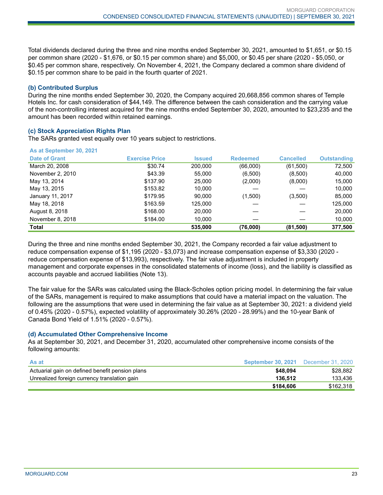Total dividends declared during the three and nine months ended September 30, 2021, amounted to \$1,651, or \$0.15 per common share (2020 - \$1,676, or \$0.15 per common share) and \$5,000, or \$0.45 per share (2020 - \$5,050, or \$0.45 per common share, respectively. On November 4, 2021, the Company declared a common share dividend of \$0.15 per common share to be paid in the fourth quarter of 2021.

#### **(b) Contributed Surplus**

During the nine months ended September 30, 2020, the Company acquired 20,668,856 common shares of Temple Hotels Inc. for cash consideration of \$44,149. The difference between the cash consideration and the carrying value of the non-controlling interest acquired for the nine months ended September 30, 2020, amounted to \$23,235 and the amount has been recorded within retained earnings.

#### **(c) Stock Appreciation Rights Plan**

The SARs granted vest equally over 10 years subject to restrictions.

|  |  | As at September 30, 2021 |  |
|--|--|--------------------------|--|
|  |  |                          |  |

| Date of Grant    | <b>Exercise Price</b> | <b>Issued</b> | <b>Redeemed</b> | <b>Cancelled</b> | <b>Outstanding</b> |
|------------------|-----------------------|---------------|-----------------|------------------|--------------------|
| March 20, 2008   | \$30.74               | 200,000       | (66,000)        | (61,500)         | 72,500             |
| November 2, 2010 | \$43.39               | 55,000        | (6,500)         | (8,500)          | 40,000             |
| May 13, 2014     | \$137.90              | 25,000        | (2,000)         | (8,000)          | 15,000             |
| May 13, 2015     | \$153.82              | 10,000        |                 |                  | 10,000             |
| January 11, 2017 | \$179.95              | 90.000        | (1,500)         | (3,500)          | 85,000             |
| May 18, 2018     | \$163.59              | 125.000       |                 |                  | 125,000            |
| August 8, 2018   | \$168.00              | 20,000        |                 |                  | 20,000             |
| November 8, 2018 | \$184.00              | 10.000        |                 |                  | 10,000             |
| Total            |                       | 535,000       | (76,000)        | (81,500)         | 377,500            |

During the three and nine months ended September 30, 2021, the Company recorded a fair value adjustment to reduce compensation expense of \$1,195 (2020 - \$3,073) and increase compensation expense of \$3,330 (2020 reduce compensation expense of \$13,993), respectively. The fair value adjustment is included in property management and corporate expenses in the consolidated statements of income (loss), and the liability is classified as accounts payable and accrued liabilities (Note 13).

The fair value for the SARs was calculated using the Black-Scholes option pricing model. In determining the fair value of the SARs, management is required to make assumptions that could have a material impact on the valuation. The following are the assumptions that were used in determining the fair value as at September 30, 2021: a dividend yield of 0.45% (2020 - 0.57%), expected volatility of approximately 30.26% (2020 - 28.99%) and the 10-year Bank of Canada Bond Yield of 1.51% (2020 - 0.57%).

#### **(d) Accumulated Other Comprehensive Income**

As at September 30, 2021, and December 31, 2020, accumulated other comprehensive income consists of the following amounts:

| <b>As at</b>                                    | September 30, 2021 | December 31, 2020 |
|-------------------------------------------------|--------------------|-------------------|
| Actuarial gain on defined benefit pension plans | \$48.094           | \$28.882          |
| Unrealized foreign currency translation gain    | 136.512            | 133.436           |
|                                                 | \$184,606          | \$162.318         |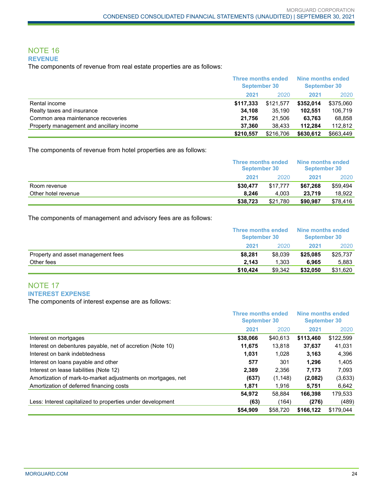#### NOTE 16 **REVENUE**

The components of revenue from real estate properties are as follows:

|                                          | Three months ended<br>September 30 |           | Nine months ended<br><b>September 30</b> |           |
|------------------------------------------|------------------------------------|-----------|------------------------------------------|-----------|
|                                          | 2021                               | 2020      | 2021                                     | 2020      |
| Rental income                            | \$117,333                          | \$121.577 | \$352,014                                | \$375,060 |
| Realty taxes and insurance               | 34.108                             | 35.190    | 102.551                                  | 106.719   |
| Common area maintenance recoveries       | 21.756                             | 21.506    | 63.763                                   | 68,858    |
| Property management and ancillary income | 37.360                             | 38.433    | 112.284                                  | 112.812   |
|                                          | \$210.557                          | \$216,706 | \$630,612                                | \$663,449 |

The components of revenue from hotel properties are as follows:

|                     |          | Three months ended<br>September 30 |          | Nine months ended<br>September 30 |
|---------------------|----------|------------------------------------|----------|-----------------------------------|
|                     | 2021     | 2020                               | 2021     | 2020                              |
| Room revenue        | \$30,477 | \$17.777                           | \$67.268 | \$59.494                          |
| Other hotel revenue | 8.246    | 4.003                              | 23.719   | 18.922                            |
|                     | \$38,723 | \$21.780                           | \$90.987 | \$78.416                          |

The components of management and advisory fees are as follows:

|                                    | <b>Three months ended</b><br><b>September 30</b> |         | Nine months ended<br><b>September 30</b> |          |
|------------------------------------|--------------------------------------------------|---------|------------------------------------------|----------|
|                                    | 2021                                             | 2020    | 2021                                     | 2020     |
| Property and asset management fees | \$8.281                                          | \$8,039 | \$25.085                                 | \$25,737 |
| Other fees                         | 2.143                                            | 1.303   | 6.965                                    | 5.883    |
|                                    | \$10.424                                         | \$9.342 | \$32,050                                 | \$31,620 |

## NOTE 17 **INTEREST EXPENSE**

The components of interest expense are as follows:

|                                                              | <b>Three months ended</b><br><b>September 30</b> |          | Nine months ended<br><b>September 30</b> |           |
|--------------------------------------------------------------|--------------------------------------------------|----------|------------------------------------------|-----------|
|                                                              | 2021                                             | 2020     | 2021                                     | 2020      |
| Interest on mortgages                                        | \$38,066                                         | \$40,613 | \$113.460                                | \$122,599 |
| Interest on debentures payable, net of accretion (Note 10)   | 11,675                                           | 13.818   | 37,637                                   | 41,031    |
| Interest on bank indebtedness                                | 1,031                                            | 1,028    | 3,163                                    | 4,396     |
| Interest on loans payable and other                          | 577                                              | 301      | 1.296                                    | 1,405     |
| Interest on lease liabilities (Note 12)                      | 2,389                                            | 2,356    | 7,173                                    | 7,093     |
| Amortization of mark-to-market adjustments on mortgages, net | (637)                                            | (1, 148) | (2,082)                                  | (3,633)   |
| Amortization of deferred financing costs                     | 1.871                                            | 1.916    | 5.751                                    | 6,642     |
|                                                              | 54.972                                           | 58.884   | 166.398                                  | 179,533   |
| Less: Interest capitalized to properties under development   | (63)                                             | (164)    | (276)                                    | (489)     |
|                                                              | \$54.909                                         | \$58,720 | \$166.122                                | \$179.044 |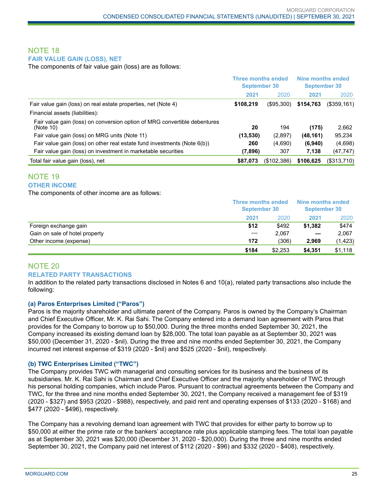## NOTE 18 **FAIR VALUE GAIN (LOSS), NET**

The components of fair value gain (loss) are as follows:

|                                                                                        | <b>Three months ended</b><br><b>September 30</b> |             | Nine months ended<br><b>September 30</b> |                |
|----------------------------------------------------------------------------------------|--------------------------------------------------|-------------|------------------------------------------|----------------|
|                                                                                        | 2021                                             | 2020        | 2021                                     | 2020           |
| Fair value gain (loss) on real estate properties, net (Note 4)                         | \$108,219                                        | (\$95,300)  | \$154,763                                | $($ \$359,161) |
| Financial assets (liabilities):                                                        |                                                  |             |                                          |                |
| Fair value gain (loss) on conversion option of MRG convertible debentures<br>(Note 10) | 20                                               | 194         | (175)                                    | 2,662          |
| Fair value gain (loss) on MRG units (Note 11)                                          | (13,530)                                         | (2,897)     | (48, 161)                                | 95,234         |
| Fair value gain (loss) on other real estate fund investments (Note $6(b)$ )            | 260                                              | (4,690)     | (6,940)                                  | (4,698)        |
| Fair value gain (loss) on investment in marketable securities                          | (7,896)                                          | 307         | 7,138                                    | (47, 747)      |
| Total fair value gain (loss), net                                                      | \$87,073                                         | (\$102,386) | \$106,625                                | (\$313,710)    |

#### NOTE 19 **OTHER INCOME**

The components of other income are as follows:

|                                | <b>Three months ended</b><br><b>September 30</b> |         | Nine months ended<br><b>September 30</b> |          |
|--------------------------------|--------------------------------------------------|---------|------------------------------------------|----------|
|                                | 2021                                             | 2020    | 2021                                     | 2020     |
| Foreign exchange gain          | \$12                                             | \$492   | \$1.382                                  | \$474    |
| Gain on sale of hotel property | $\hspace{0.05cm}$                                | 2.067   |                                          | 2.067    |
| Other income (expense)         | 172                                              | (306)   | 2.969                                    | (1, 423) |
|                                | \$184                                            | \$2,253 | \$4.351                                  | \$1,118  |

## NOTE 20 **RELATED PARTY TRANSACTIONS**

In addition to the related party transactions disclosed in Notes 6 and 10(a), related party transactions also include the following:

#### **(a) Paros Enterprises Limited ("Paros")**

Paros is the majority shareholder and ultimate parent of the Company. Paros is owned by the Company's Chairman and Chief Executive Officer, Mr. K. Rai Sahi. The Company entered into a demand loan agreement with Paros that provides for the Company to borrow up to \$50,000. During the three months ended September 30, 2021, the Company increased its existing demand loan by \$28,000. The total loan payable as at September 30, 2021 was \$50,000 (December 31, 2020 - \$nil). During the three and nine months ended September 30, 2021, the Company incurred net interest expense of \$319 (2020 - \$nil) and \$525 (2020 - \$nil), respectively.

#### **(b) TWC Enterprises Limited ("TWC")**

The Company provides TWC with managerial and consulting services for its business and the business of its subsidiaries. Mr. K. Rai Sahi is Chairman and Chief Executive Officer and the majority shareholder of TWC through his personal holding companies, which include Paros. Pursuant to contractual agreements between the Company and TWC, for the three and nine months ended September 30, 2021, the Company received a management fee of \$319 (2020 - \$327) and \$953 (2020 - \$988), respectively, and paid rent and operating expenses of \$133 (2020 - \$168) and \$477 (2020 - \$496), respectively.

The Company has a revolving demand loan agreement with TWC that provides for either party to borrow up to \$50,000 at either the prime rate or the bankers' acceptance rate plus applicable stamping fees. The total loan payable as at September 30, 2021 was \$20,000 (December 31, 2020 - \$20,000). During the three and nine months ended September 30, 2021, the Company paid net interest of \$112 (2020 - \$96) and \$332 (2020 - \$408), respectively.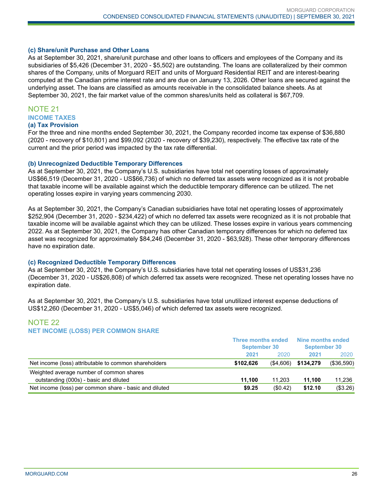#### **(c) Share/unit Purchase and Other Loans**

As at September 30, 2021, share/unit purchase and other loans to officers and employees of the Company and its subsidiaries of \$5,426 (December 31, 2020 - \$5,502) are outstanding. The loans are collateralized by their common shares of the Company, units of Morguard REIT and units of Morguard Residential REIT and are interest-bearing computed at the Canadian prime interest rate and are due on January 13, 2026. Other loans are secured against the underlying asset. The loans are classified as amounts receivable in the consolidated balance sheets. As at September 30, 2021, the fair market value of the common shares/units held as collateral is \$67,709.

#### NOTE 21 **INCOME TAXES**

#### **(a) Tax Provision**

For the three and nine months ended September 30, 2021, the Company recorded income tax expense of \$36,880 (2020 - recovery of \$10,801) and \$99,092 (2020 - recovery of \$39,230), respectively. The effective tax rate of the current and the prior period was impacted by the tax rate differential.

#### **(b) Unrecognized Deductible Temporary Differences**

As at September 30, 2021, the Company's U.S. subsidiaries have total net operating losses of approximately US\$66,519 (December 31, 2020 - US\$66,736) of which no deferred tax assets were recognized as it is not probable that taxable income will be available against which the deductible temporary difference can be utilized. The net operating losses expire in varying years commencing 2030.

As at September 30, 2021, the Company's Canadian subsidiaries have total net operating losses of approximately \$252,904 (December 31, 2020 - \$234,422) of which no deferred tax assets were recognized as it is not probable that taxable income will be available against which they can be utilized. These losses expire in various years commencing 2022. As at September 30, 2021, the Company has other Canadian temporary differences for which no deferred tax asset was recognized for approximately \$84,246 (December 31, 2020 - \$63,928). These other temporary differences have no expiration date.

#### **(c) Recognized Deductible Temporary Differences**

As at September 30, 2021, the Company's U.S. subsidiaries have total net operating losses of US\$31,236 (December 31, 2020 - US\$26,808) of which deferred tax assets were recognized. These net operating losses have no expiration date.

As at September 30, 2021, the Company's U.S. subsidiaries have total unutilized interest expense deductions of US\$12,260 (December 31, 2020 - US\$5,046) of which deferred tax assets were recognized.

## NOTE 22 **NET INCOME (LOSS) PER COMMON SHARE**

|                                                        | <b>Three months ended</b><br><b>September 30</b> |             | Nine months ended<br><b>September 30</b> |            |
|--------------------------------------------------------|--------------------------------------------------|-------------|------------------------------------------|------------|
|                                                        | 2021                                             | 2020        | 2021                                     | 2020       |
| Net income (loss) attributable to common shareholders  | \$102.626                                        |             | $($4,606)$ \$134,279                     | (\$36,590) |
| Weighted average number of common shares               |                                                  |             |                                          |            |
| outstanding (000s) - basic and diluted                 | 11.100                                           | 11.203      | 11.100                                   | 11,236     |
| Net income (loss) per common share - basic and diluted | \$9.25                                           | $($ \$0.42) | \$12.10                                  | (\$3.26)   |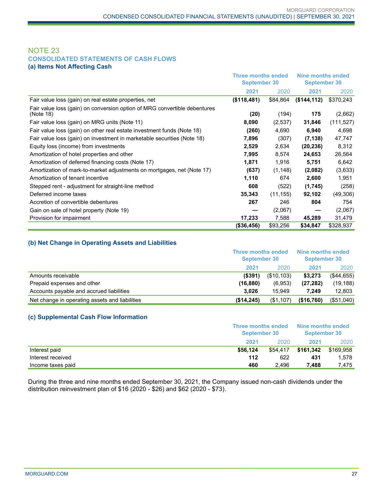#### NOTE 23 **CONSOLIDATED STATEMENTS OF CASH FLOWS (a) Items Not Affecting Cash**

|                                                                                        | <b>Three months ended</b><br><b>September 30</b> |           | Nine months ended<br><b>September 30</b> |            |
|----------------------------------------------------------------------------------------|--------------------------------------------------|-----------|------------------------------------------|------------|
|                                                                                        | 2021                                             | 2020      | 2021                                     | 2020       |
| Fair value loss (gain) on real estate properties, net                                  | (\$118,481)                                      | \$84,864  | (\$144, 112)                             | \$370,243  |
| Fair value loss (gain) on conversion option of MRG convertible debentures<br>(Note 18) | (20)                                             | (194)     | 175                                      | (2,662)    |
| Fair value loss (gain) on MRG units (Note 11)                                          | 8,090                                            | (2,537)   | 31,846                                   | (111, 527) |
| Fair value loss (gain) on other real estate investment funds (Note 18)                 | (260)                                            | 4,690     | 6,940                                    | 4,698      |
| Fair value loss (gain) on investment in marketable securities (Note 18)                | 7,896                                            | (307)     | (7, 138)                                 | 47,747     |
| Equity loss (income) from investments                                                  | 2,529                                            | 2,634     | (20, 236)                                | 8,312      |
| Amortization of hotel properties and other                                             | 7,995                                            | 8,574     | 24,653                                   | 26,564     |
| Amortization of deferred financing costs (Note 17)                                     | 1,871                                            | 1,916     | 5,751                                    | 6,642      |
| Amortization of mark-to-market adjustments on mortgages, net (Note 17)                 | (637)                                            | (1, 148)  | (2,082)                                  | (3,633)    |
| Amortization of tenant incentive                                                       | 1,110                                            | 674       | 2,600                                    | 1,951      |
| Stepped rent - adjustment for straight-line method                                     | 608                                              | (522)     | (1,745)                                  | (258)      |
| Deferred income taxes                                                                  | 35,343                                           | (11, 155) | 92,102                                   | (49,306)   |
| Accretion of convertible debentures                                                    | 267                                              | 246       | 804                                      | 754        |
| Gain on sale of hotel property (Note 19)                                               |                                                  | (2,067)   |                                          | (2,067)    |
| Provision for impairment                                                               | 17,233                                           | 7,588     | 45,289                                   | 31,479     |
|                                                                                        | (\$36,456)                                       | \$93,256  | \$34,847                                 | \$328,937  |

#### **(b) Net Change in Operating Assets and Liabilities**

|                                                |            | Three months ended<br><b>September 30</b> |            | Nine months ended<br><b>September 30</b> |  |
|------------------------------------------------|------------|-------------------------------------------|------------|------------------------------------------|--|
|                                                | 2021       | 2020                                      | 2021       | 2020                                     |  |
| Amounts receivable                             | $($ \$391) | (\$10,103)                                | \$3.273    | ( \$44,655)                              |  |
| Prepaid expenses and other                     | (16,880)   | (6,953)                                   | (27, 282)  | (19, 188)                                |  |
| Accounts payable and accrued liabilities       | 3.026      | 15.949                                    | 7.249      | 12,803                                   |  |
| Net change in operating assets and liabilities | (\$14,245) | (\$1,107)                                 | (\$16,760) | (\$51,040)                               |  |

#### **(c) Supplemental Cash Flow Information**

|                   | Three months ended<br>September 30 |          | Nine months ended<br>September 30 |           |
|-------------------|------------------------------------|----------|-----------------------------------|-----------|
|                   | 2021                               | 2020     | 2021                              | 2020      |
| Interest paid     | \$56.124                           | \$54,417 | \$161.342                         | \$169,958 |
| Interest received | 112                                | 622      | 431                               | 1.578     |
| Income taxes paid | 460                                | 2.496    | 7.488                             | 7.475     |

During the three and nine months ended September 30, 2021, the Company issued non-cash dividends under the distribution reinvestment plan of \$16 (2020 - \$26) and \$62 (2020 - \$73).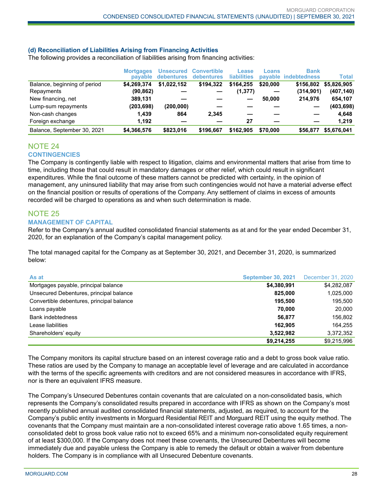#### **(d) Reconciliation of Liabilities Arising from Financing Activities**

The following provides a reconciliation of liabilities arising from financing activities:

|                              | <b>Mortgages</b><br>pavable | <b>Unsecured</b><br>debentures | <b>Convertible</b><br><b>debentures</b> | <b>Lease</b><br><b>liabilities</b> | Loans    | <b>Bank</b><br>payable indebtedness | <b>Total</b> |
|------------------------------|-----------------------------|--------------------------------|-----------------------------------------|------------------------------------|----------|-------------------------------------|--------------|
| Balance, beginning of period | \$4.269.374                 | \$1.022.152                    | \$194.322                               | \$164.255                          | \$20,000 | \$156.802                           | \$5.826.905  |
| Repayments                   | (90, 862)                   |                                |                                         | (1,377)                            |          | (314, 901)                          | (407, 140)   |
| New financing, net           | 389,131                     |                                |                                         |                                    | 50,000   | 214.976                             | 654,107      |
| Lump-sum repayments          | (203, 698)                  | (200,000)                      |                                         |                                    |          |                                     | (403, 698)   |
| Non-cash changes             | 1.439                       | 864                            | 2.345                                   |                                    |          |                                     | 4,648        |
| Foreign exchange             | 1.192                       |                                |                                         | 27                                 |          |                                     | 1,219        |
| Balance, September 30, 2021  | \$4,366,576                 | \$823.016                      | \$196.667                               | \$162,905                          | \$70,000 | \$56,877                            | \$5,676,041  |

#### NOTE 24 **CONTINGENCIES**

The Company is contingently liable with respect to litigation, claims and environmental matters that arise from time to time, including those that could result in mandatory damages or other relief, which could result in significant expenditures. While the final outcome of these matters cannot be predicted with certainty, in the opinion of management, any uninsured liability that may arise from such contingencies would not have a material adverse effect on the financial position or results of operations of the Company. Any settlement of claims in excess of amounts recorded will be charged to operations as and when such determination is made.

## NOTE 25

#### **MANAGEMENT OF CAPITAL**

Refer to the Company's annual audited consolidated financial statements as at and for the year ended December 31, 2020, for an explanation of the Company's capital management policy.

The total managed capital for the Company as at September 30, 2021, and December 31, 2020, is summarized below:

| As at                                     | <b>September 30, 2021</b> | December 31, 2020 |
|-------------------------------------------|---------------------------|-------------------|
| Mortgages payable, principal balance      | \$4,380,991               | \$4,282,087       |
| Unsecured Debentures, principal balance   | 825,000                   | 1,025,000         |
| Convertible debentures, principal balance | 195.500                   | 195,500           |
| Loans payable                             | 70.000                    | 20,000            |
| <b>Bank indebtedness</b>                  | 56.877                    | 156,802           |
| Lease liabilities                         | 162.905                   | 164.255           |
| Shareholders' equity                      | 3,522,982                 | 3,372,352         |
|                                           | \$9,214,255               | \$9,215,996       |

The Company monitors its capital structure based on an interest coverage ratio and a debt to gross book value ratio. These ratios are used by the Company to manage an acceptable level of leverage and are calculated in accordance with the terms of the specific agreements with creditors and are not considered measures in accordance with IFRS, nor is there an equivalent IFRS measure.

The Company's Unsecured Debentures contain covenants that are calculated on a non-consolidated basis, which represents the Company's consolidated results prepared in accordance with IFRS as shown on the Company's most recently published annual audited consolidated financial statements, adjusted, as required, to account for the Company's public entity investments in Morguard Residential REIT and Morguard REIT using the equity method. The covenants that the Company must maintain are a non-consolidated interest coverage ratio above 1.65 times, a nonconsolidated debt to gross book value ratio not to exceed 65% and a minimum non-consolidated equity requirement of at least \$300,000. If the Company does not meet these covenants, the Unsecured Debentures will become immediately due and payable unless the Company is able to remedy the default or obtain a waiver from debenture holders. The Company is in compliance with all Unsecured Debenture covenants.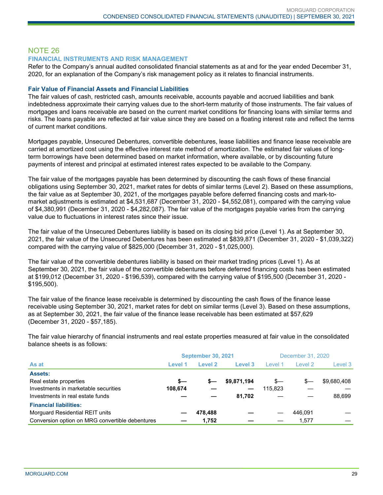## NOTE 26

#### **FINANCIAL INSTRUMENTS AND RISK MANAGEMENT**

Refer to the Company's annual audited consolidated financial statements as at and for the year ended December 31, 2020, for an explanation of the Company's risk management policy as it relates to financial instruments.

#### **Fair Value of Financial Assets and Financial Liabilities**

The fair values of cash, restricted cash, amounts receivable, accounts payable and accrued liabilities and bank indebtedness approximate their carrying values due to the short-term maturity of those instruments. The fair values of mortgages and loans receivable are based on the current market conditions for financing loans with similar terms and risks. The loans payable are reflected at fair value since they are based on a floating interest rate and reflect the terms of current market conditions.

Mortgages payable, Unsecured Debentures, convertible debentures, lease liabilities and finance lease receivable are carried at amortized cost using the effective interest rate method of amortization. The estimated fair values of longterm borrowings have been determined based on market information, where available, or by discounting future payments of interest and principal at estimated interest rates expected to be available to the Company.

The fair value of the mortgages payable has been determined by discounting the cash flows of these financial obligations using September 30, 2021, market rates for debts of similar terms (Level 2). Based on these assumptions, the fair value as at September 30, 2021, of the mortgages payable before deferred financing costs and mark-tomarket adjustments is estimated at \$4,531,687 (December 31, 2020 - \$4,552,081), compared with the carrying value of \$4,380,991 (December 31, 2020 - \$4,282,087). The fair value of the mortgages payable varies from the carrying value due to fluctuations in interest rates since their issue.

The fair value of the Unsecured Debentures liability is based on its closing bid price (Level 1). As at September 30, 2021, the fair value of the Unsecured Debentures has been estimated at \$839,871 (December 31, 2020 - \$1,039,322) compared with the carrying value of \$825,000 (December 31, 2020 - \$1,025,000).

The fair value of the convertible debentures liability is based on their market trading prices (Level 1). As at September 30, 2021, the fair value of the convertible debentures before deferred financing costs has been estimated at \$199,012 (December 31, 2020 - \$196,539), compared with the carrying value of \$195,500 (December 31, 2020 - \$195,500).

The fair value of the finance lease receivable is determined by discounting the cash flows of the finance lease receivable using September 30, 2021, market rates for debt on similar terms (Level 3). Based on these assumptions, as at September 30, 2021, the fair value of the finance lease receivable has been estimated at \$57,629 (December 31, 2020 - \$57,185).

The fair value hierarchy of financial instruments and real estate properties measured at fair value in the consolidated balance sheets is as follows:

|                                                 |         | <b>September 30, 2021</b> |             | December 31, 2020 |         |             |  |
|-------------------------------------------------|---------|---------------------------|-------------|-------------------|---------|-------------|--|
| As at                                           | Level 1 | Level 2                   | Level 3     | Level 1           | Level 2 | Level 3     |  |
| <b>Assets:</b>                                  |         |                           |             |                   |         |             |  |
| Real estate properties                          | $s-$    | s—                        | \$9,871,194 | s—                | s—      | \$9,680,408 |  |
| Investments in marketable securities            | 108,674 |                           |             | 115,823           |         |             |  |
| Investments in real estate funds                |         |                           | 81.702      |                   |         | 88.699      |  |
| <b>Financial liabilities:</b>                   |         |                           |             |                   |         |             |  |
| Morguard Residential REIT units                 |         | 478.488                   |             |                   | 446.091 |             |  |
| Conversion option on MRG convertible debentures |         | 1,752                     |             |                   | 1.577   |             |  |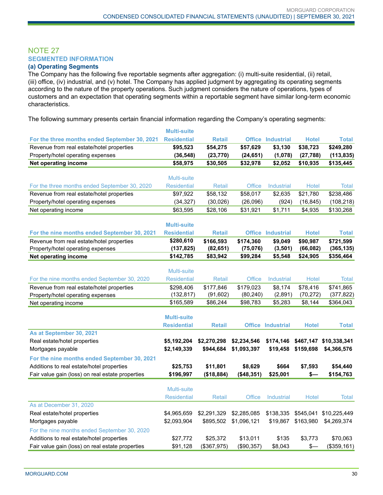## NOTE 27 **SEGMENTED INFORMATION**

#### **(a) Operating Segments**

The Company has the following five reportable segments after aggregation: (i) multi-suite residential, (ii) retail, (iii) office, (iv) industrial, and (v) hotel. The Company has applied judgment by aggregating its operating segments according to the nature of the property operations. Such judgment considers the nature of operations, types of customers and an expectation that operating segments within a reportable segment have similar long-term economic characteristics.

The following summary presents certain financial information regarding the Company's operating segments:

|                                                  | <b>Multi-suite</b> |               |               |                          |               |              |
|--------------------------------------------------|--------------------|---------------|---------------|--------------------------|---------------|--------------|
| For the three months ended September 30, 2021    | <b>Residential</b> | <b>Retail</b> |               | <b>Office Industrial</b> | <b>Hotel</b>  | <b>Total</b> |
| Revenue from real estate/hotel properties        | \$95,523           | \$54,275      | \$57,629      | \$3,130                  | \$38,723      | \$249,280    |
| Property/hotel operating expenses                | (36, 548)          | (23, 770)     | (24, 651)     | (1,078)                  | (27, 788)     | (113, 835)   |
| <b>Net operating income</b>                      | \$58,975           | \$30,505      | \$32,978      | \$2,052                  | \$10,935      | \$135,445    |
|                                                  |                    |               |               |                          |               |              |
|                                                  | <b>Multi-suite</b> |               |               |                          |               |              |
| For the three months ended September 30, 2020    | <b>Residential</b> | Retail        | <b>Office</b> | Industrial               | <b>Hotel</b>  | <b>Total</b> |
| Revenue from real estate/hotel properties        | \$97,922           | \$58,132      | \$58,017      | \$2,635                  | \$21,780      | \$238,486    |
| Property/hotel operating expenses                | (34, 327)          | (30, 026)     | (26,096)      | (924)                    | (16, 845)     | (108, 218)   |
| Net operating income                             | \$63,595           | \$28,106      | \$31,921      | \$1,711                  | \$4,935       | \$130,268    |
|                                                  |                    |               |               |                          |               |              |
|                                                  | <b>Multi-suite</b> |               |               |                          |               |              |
| For the nine months ended September 30, 2021     | <b>Residential</b> | <b>Retail</b> |               | <b>Office Industrial</b> | <b>Hotel</b>  | <b>Total</b> |
| Revenue from real estate/hotel properties        | \$280,610          | \$166,593     | \$174,360     | \$9,049                  | \$90,987      | \$721,599    |
| Property/hotel operating expenses                | (137, 825)         | (82, 651)     | (75,076)      | (3, 501)                 | (66, 082)     | (365, 135)   |
| <b>Net operating income</b>                      | \$142,785          | \$83,942      | \$99,284      | \$5,548                  | \$24,905      | \$356,464    |
|                                                  | Multi-suite        |               |               |                          |               |              |
| For the nine months ended September 30, 2020     | <b>Residential</b> | <b>Retail</b> | <b>Office</b> | Industrial               | <b>Hotel</b>  | <b>Total</b> |
| Revenue from real estate/hotel properties        | \$298,406          | \$177,846     | \$179,023     | \$8,174                  | \$78,416      | \$741,865    |
| Property/hotel operating expenses                | (132, 817)         | (91, 602)     | (80, 240)     | (2,891)                  | (70, 272)     | (377, 822)   |
| Net operating income                             | \$165,589          | \$86,244      | \$98,783      | \$5,283                  | \$8,144       | \$364,043    |
|                                                  |                    |               |               |                          |               |              |
|                                                  | <b>Multi-suite</b> |               |               |                          |               |              |
|                                                  | <b>Residential</b> | <b>Retail</b> |               | <b>Office Industrial</b> | <b>Hotel</b>  | <b>Total</b> |
| As at September 30, 2021                         |                    |               |               |                          |               |              |
| Real estate/hotel properties                     | \$5,192,204        | \$2,270,298   | \$2,234,546   | \$174,146                | \$467,147     | \$10,338,341 |
| Mortgages payable                                | \$2,149,339        | \$944,684     | \$1,093,397   | \$19,458                 | \$159,698     | \$4,366,576  |
| For the nine months ended September 30, 2021     |                    |               |               |                          |               |              |
| Additions to real estate/hotel properties        | \$25,753           | \$11,801      | \$8,629       | \$664                    | \$7,593       | \$54,440     |
| Fair value gain (loss) on real estate properties | \$196,997          | ( \$18, 884)  | $($ \$48,351) | \$25,001                 | \$—           | \$154,763    |
|                                                  |                    |               |               |                          |               |              |
|                                                  | Multi-suite        |               |               |                          |               |              |
|                                                  | <b>Residential</b> | <b>Retail</b> | <b>Office</b> | <b>Industrial</b>        | <b>Hotel</b>  | <b>Total</b> |
| As at December 31, 2020                          |                    |               |               |                          |               |              |
| Real estate/hotel properties                     | \$4,965,659        | \$2,291,329   | \$2,285,085   | \$138,335                | \$545,041     | \$10,225,449 |
| Mortgages payable                                | \$2,093,904        | \$895,502     | \$1,096,121   | \$19,867                 | \$163,980     | \$4,269,374  |
| For the nine months ended September 30, 2020     |                    |               |               |                          |               |              |
| Additions to real estate/hotel properties        | \$27,772           | \$25,372      | \$13,011      | \$135                    | \$3,773       | \$70,063     |
| Fair value gain (loss) on real estate properties | \$91,128           | (\$367,975)   | (\$90,357)    | \$8,043                  | $\frac{2}{2}$ | (\$359, 161) |